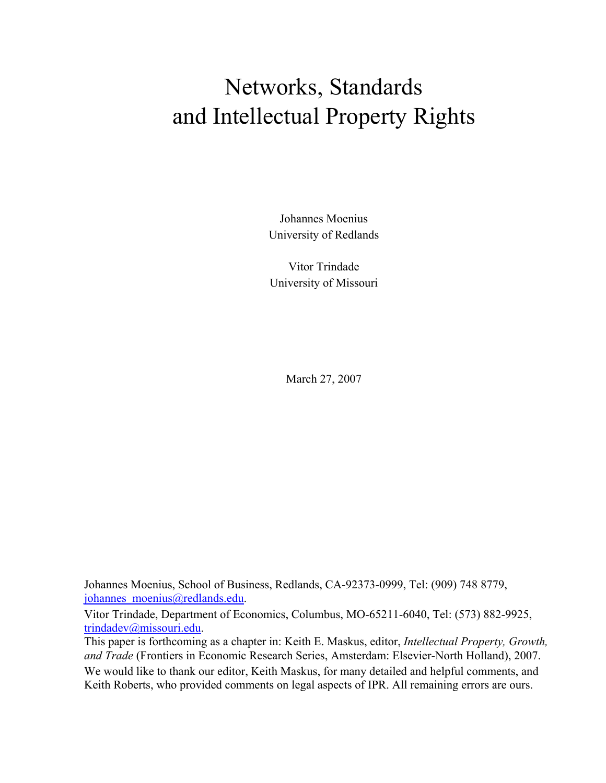# Networks, Standards and Intellectual Property Rights

Johannes Moenius University of Redlands

Vitor Trindade University of Missouri

March 27, 2007

Johannes Moenius, School of Business, Redlands, CA-92373-0999, Tel: (909) 748 8779, johannes\_moenius@redlands.edu.

Vitor Trindade, Department of Economics, Columbus, MO-65211-6040, Tel: (573) 882-9925, trindadev@missouri.edu.

This paper is forthcoming as a chapter in: Keith E. Maskus, editor, *Intellectual Property, Growth, and Trade* (Frontiers in Economic Research Series, Amsterdam: Elsevier-North Holland), 2007.

We would like to thank our editor, Keith Maskus, for many detailed and helpful comments, and Keith Roberts, who provided comments on legal aspects of IPR. All remaining errors are ours.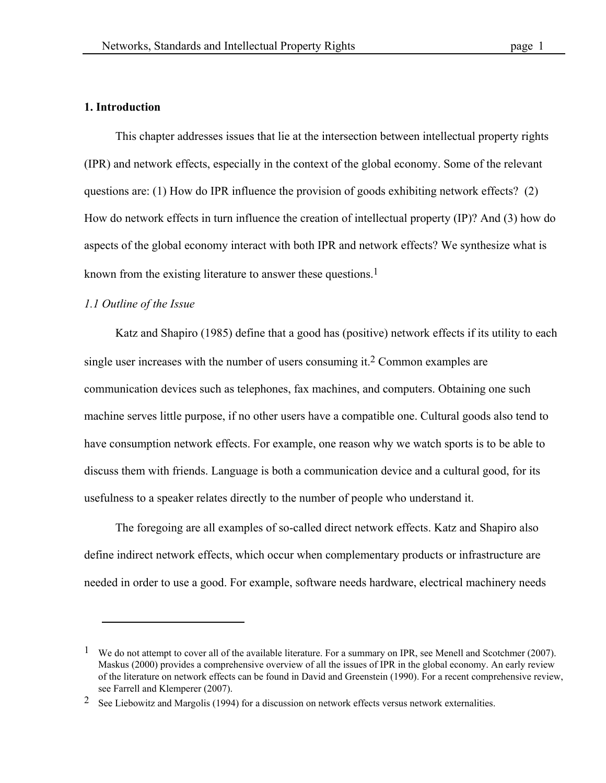## **1. Introduction**

This chapter addresses issues that lie at the intersection between intellectual property rights (IPR) and network effects, especially in the context of the global economy. Some of the relevant questions are: (1) How do IPR influence the provision of goods exhibiting network effects? (2) How do network effects in turn influence the creation of intellectual property (IP)? And (3) how do aspects of the global economy interact with both IPR and network effects? We synthesize what is known from the existing literature to answer these questions.<sup>1</sup>

## *1.1 Outline of the Issue*

<u>.</u>

Katz and Shapiro (1985) define that a good has (positive) network effects if its utility to each single user increases with the number of users consuming it.2 Common examples are communication devices such as telephones, fax machines, and computers. Obtaining one such machine serves little purpose, if no other users have a compatible one. Cultural goods also tend to have consumption network effects. For example, one reason why we watch sports is to be able to discuss them with friends. Language is both a communication device and a cultural good, for its usefulness to a speaker relates directly to the number of people who understand it.

The foregoing are all examples of so-called direct network effects. Katz and Shapiro also define indirect network effects, which occur when complementary products or infrastructure are needed in order to use a good. For example, software needs hardware, electrical machinery needs

<sup>&</sup>lt;sup>1</sup> We do not attempt to cover all of the available literature. For a summary on IPR, see Menell and Scotchmer (2007). Maskus (2000) provides a comprehensive overview of all the issues of IPR in the global economy. An early review of the literature on network effects can be found in David and Greenstein (1990). For a recent comprehensive review, see Farrell and Klemperer (2007).

<sup>&</sup>lt;sup>2</sup> See Liebowitz and Margolis (1994) for a discussion on network effects versus network externalities.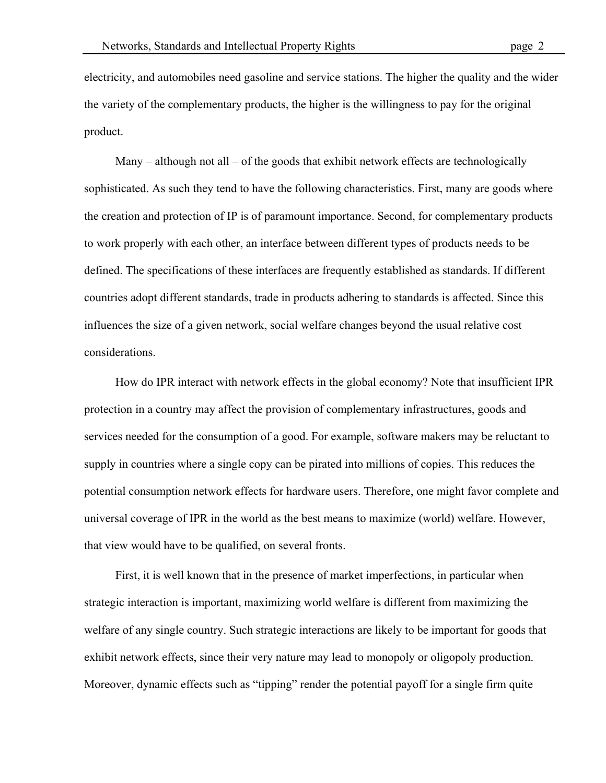electricity, and automobiles need gasoline and service stations. The higher the quality and the wider the variety of the complementary products, the higher is the willingness to pay for the original product.

Many – although not all – of the goods that exhibit network effects are technologically sophisticated. As such they tend to have the following characteristics. First, many are goods where the creation and protection of IP is of paramount importance. Second, for complementary products to work properly with each other, an interface between different types of products needs to be defined. The specifications of these interfaces are frequently established as standards. If different countries adopt different standards, trade in products adhering to standards is affected. Since this influences the size of a given network, social welfare changes beyond the usual relative cost considerations.

How do IPR interact with network effects in the global economy? Note that insufficient IPR protection in a country may affect the provision of complementary infrastructures, goods and services needed for the consumption of a good. For example, software makers may be reluctant to supply in countries where a single copy can be pirated into millions of copies. This reduces the potential consumption network effects for hardware users. Therefore, one might favor complete and universal coverage of IPR in the world as the best means to maximize (world) welfare. However, that view would have to be qualified, on several fronts.

First, it is well known that in the presence of market imperfections, in particular when strategic interaction is important, maximizing world welfare is different from maximizing the welfare of any single country. Such strategic interactions are likely to be important for goods that exhibit network effects, since their very nature may lead to monopoly or oligopoly production. Moreover, dynamic effects such as "tipping" render the potential payoff for a single firm quite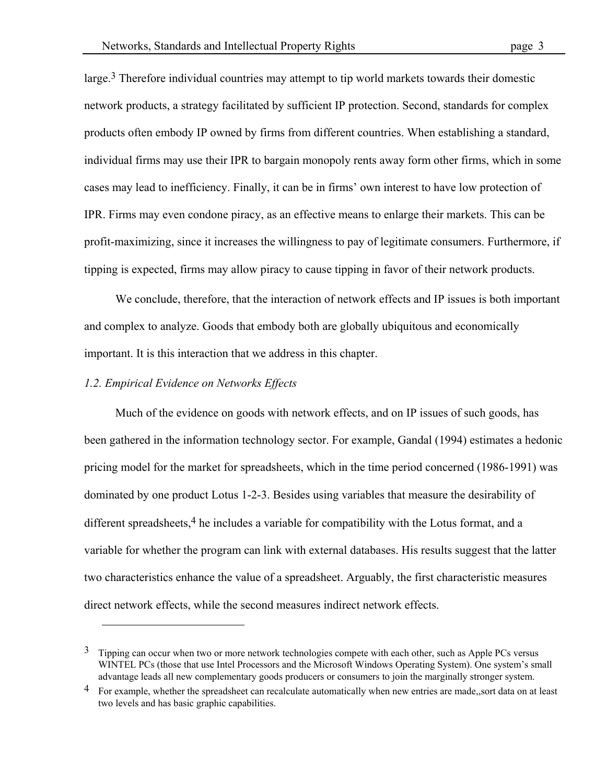large.3 Therefore individual countries may attempt to tip world markets towards their domestic network products, a strategy facilitated by sufficient IP protection. Second, standards for complex products often embody IP owned by firms from different countries. When establishing a standard, individual firms may use their IPR to bargain monopoly rents away form other firms, which in some cases may lead to inefficiency. Finally, it can be in firms' own interest to have low protection of IPR. Firms may even condone piracy, as an effective means to enlarge their markets. This can be profit-maximizing, since it increases the willingness to pay of legitimate consumers. Furthermore, if tipping is expected, firms may allow piracy to cause tipping in favor of their network products.

We conclude, therefore, that the interaction of network effects and IP issues is both important and complex to analyze. Goods that embody both are globally ubiquitous and economically important. It is this interaction that we address in this chapter.

## *1.2. Empirical Evidence on Networks Effects*

<u>.</u>

Much of the evidence on goods with network effects, and on IP issues of such goods, has been gathered in the information technology sector. For example, Gandal (1994) estimates a hedonic pricing model for the market for spreadsheets, which in the time period concerned (1986-1991) was dominated by one product Lotus 1-2-3. Besides using variables that measure the desirability of different spreadsheets,<sup>4</sup> he includes a variable for compatibility with the Lotus format, and a variable for whether the program can link with external databases. His results suggest that the latter two characteristics enhance the value of a spreadsheet. Arguably, the first characteristic measures direct network effects, while the second measures indirect network effects.

<sup>&</sup>lt;sup>3</sup> Tipping can occur when two or more network technologies compete with each other, such as Apple PCs versus WINTEL PCs (those that use Intel Processors and the Microsoft Windows Operating System). One system's small advantage leads all new complementary goods producers or consumers to join the marginally stronger system.

<sup>&</sup>lt;sup>4</sup> For example, whether the spreadsheet can recalculate automatically when new entries are made,,sort data on at least two levels and has basic graphic capabilities.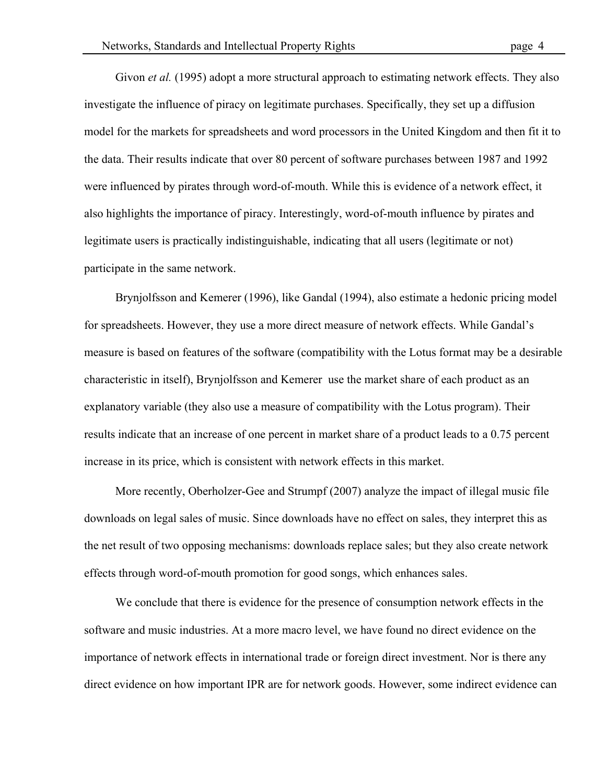Givon *et al.* (1995) adopt a more structural approach to estimating network effects. They also investigate the influence of piracy on legitimate purchases. Specifically, they set up a diffusion model for the markets for spreadsheets and word processors in the United Kingdom and then fit it to the data. Their results indicate that over 80 percent of software purchases between 1987 and 1992 were influenced by pirates through word-of-mouth. While this is evidence of a network effect, it also highlights the importance of piracy. Interestingly, word-of-mouth influence by pirates and legitimate users is practically indistinguishable, indicating that all users (legitimate or not) participate in the same network.

Brynjolfsson and Kemerer (1996), like Gandal (1994), also estimate a hedonic pricing model for spreadsheets. However, they use a more direct measure of network effects. While Gandal's measure is based on features of the software (compatibility with the Lotus format may be a desirable characteristic in itself), Brynjolfsson and Kemerer use the market share of each product as an explanatory variable (they also use a measure of compatibility with the Lotus program). Their results indicate that an increase of one percent in market share of a product leads to a 0.75 percent increase in its price, which is consistent with network effects in this market.

More recently, Oberholzer-Gee and Strumpf (2007) analyze the impact of illegal music file downloads on legal sales of music. Since downloads have no effect on sales, they interpret this as the net result of two opposing mechanisms: downloads replace sales; but they also create network effects through word-of-mouth promotion for good songs, which enhances sales.

We conclude that there is evidence for the presence of consumption network effects in the software and music industries. At a more macro level, we have found no direct evidence on the importance of network effects in international trade or foreign direct investment. Nor is there any direct evidence on how important IPR are for network goods. However, some indirect evidence can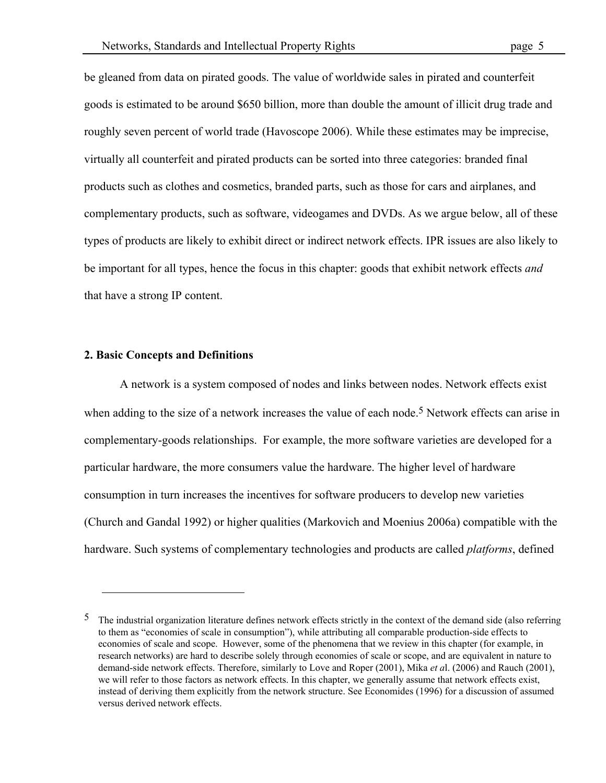be gleaned from data on pirated goods. The value of worldwide sales in pirated and counterfeit goods is estimated to be around \$650 billion, more than double the amount of illicit drug trade and roughly seven percent of world trade (Havoscope 2006). While these estimates may be imprecise, virtually all counterfeit and pirated products can be sorted into three categories: branded final products such as clothes and cosmetics, branded parts, such as those for cars and airplanes, and complementary products, such as software, videogames and DVDs. As we argue below, all of these types of products are likely to exhibit direct or indirect network effects. IPR issues are also likely to be important for all types, hence the focus in this chapter: goods that exhibit network effects *and* that have a strong IP content.

## **2. Basic Concepts and Definitions**

<u>.</u>

A network is a system composed of nodes and links between nodes. Network effects exist when adding to the size of a network increases the value of each node.<sup>5</sup> Network effects can arise in complementary-goods relationships. For example, the more software varieties are developed for a particular hardware, the more consumers value the hardware. The higher level of hardware consumption in turn increases the incentives for software producers to develop new varieties (Church and Gandal 1992) or higher qualities (Markovich and Moenius 2006a) compatible with the hardware. Such systems of complementary technologies and products are called *platforms*, defined

<sup>5</sup> The industrial organization literature defines network effects strictly in the context of the demand side (also referring to them as "economies of scale in consumption"), while attributing all comparable production-side effects to economies of scale and scope. However, some of the phenomena that we review in this chapter (for example, in research networks) are hard to describe solely through economies of scale or scope, and are equivalent in nature to demand-side network effects. Therefore, similarly to Love and Roper (2001), Mika *et a*l. (2006) and Rauch (2001), we will refer to those factors as network effects. In this chapter, we generally assume that network effects exist, instead of deriving them explicitly from the network structure. See Economides (1996) for a discussion of assumed versus derived network effects.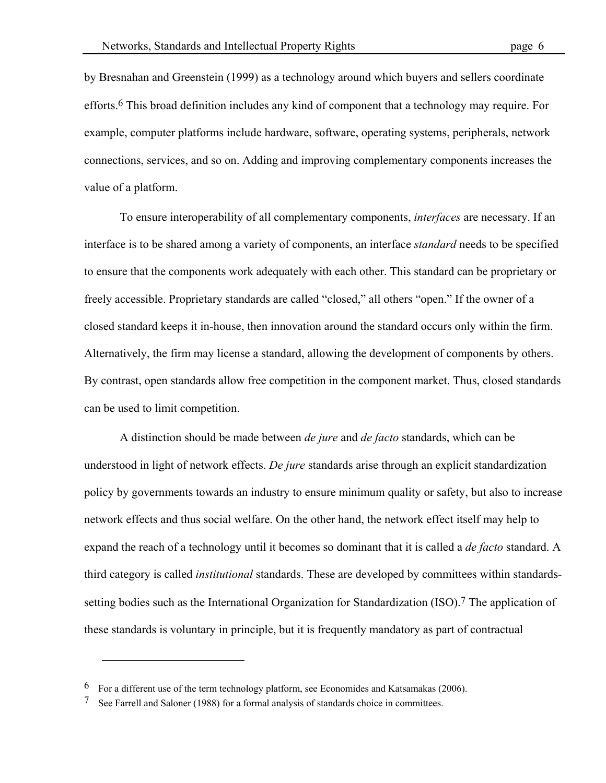by Bresnahan and Greenstein (1999) as a technology around which buyers and sellers coordinate efforts.6 This broad definition includes any kind of component that a technology may require. For example, computer platforms include hardware, software, operating systems, peripherals, network connections, services, and so on. Adding and improving complementary components increases the value of a platform.

To ensure interoperability of all complementary components, *interfaces* are necessary. If an interface is to be shared among a variety of components, an interface *standard* needs to be specified to ensure that the components work adequately with each other. This standard can be proprietary or freely accessible. Proprietary standards are called "closed," all others "open." If the owner of a closed standard keeps it in-house, then innovation around the standard occurs only within the firm. Alternatively, the firm may license a standard, allowing the development of components by others. By contrast, open standards allow free competition in the component market. Thus, closed standards can be used to limit competition.

A distinction should be made between *de jure* and *de facto* standards, which can be understood in light of network effects. *De jure* standards arise through an explicit standardization policy by governments towards an industry to ensure minimum quality or safety, but also to increase network effects and thus social welfare. On the other hand, the network effect itself may help to expand the reach of a technology until it becomes so dominant that it is called a *de facto* standard. A third category is called *institutional* standards. These are developed by committees within standardssetting bodies such as the International Organization for Standardization (ISO).<sup>7</sup> The application of these standards is voluntary in principle, but it is frequently mandatory as part of contractual

 $6$  For a different use of the term technology platform, see Economides and Katsamakas (2006).

<sup>7</sup> See Farrell and Saloner (1988) for a formal analysis of standards choice in committees.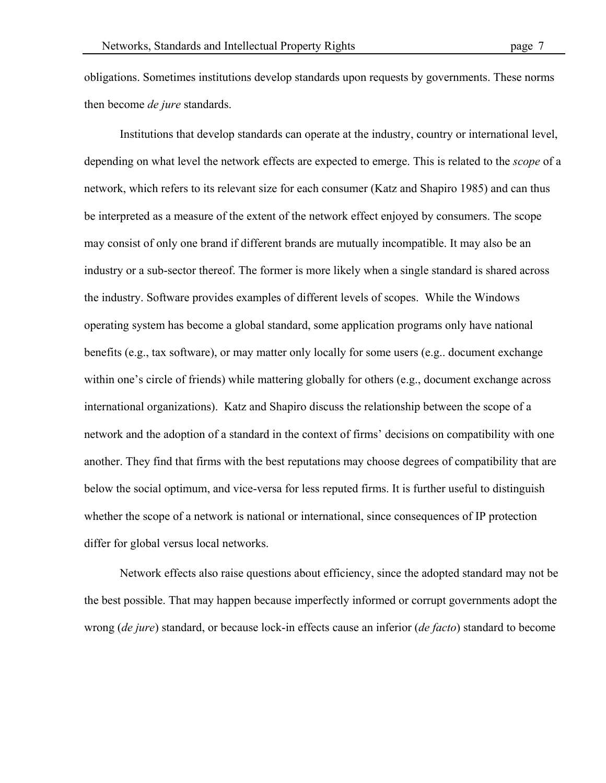obligations. Sometimes institutions develop standards upon requests by governments. These norms then become *de jure* standards.

Institutions that develop standards can operate at the industry, country or international level, depending on what level the network effects are expected to emerge. This is related to the *scope* of a network, which refers to its relevant size for each consumer (Katz and Shapiro 1985) and can thus be interpreted as a measure of the extent of the network effect enjoyed by consumers. The scope may consist of only one brand if different brands are mutually incompatible. It may also be an industry or a sub-sector thereof. The former is more likely when a single standard is shared across the industry. Software provides examples of different levels of scopes. While the Windows operating system has become a global standard, some application programs only have national benefits (e.g., tax software), or may matter only locally for some users (e.g.. document exchange within one's circle of friends) while mattering globally for others (e.g., document exchange across international organizations). Katz and Shapiro discuss the relationship between the scope of a network and the adoption of a standard in the context of firms' decisions on compatibility with one another. They find that firms with the best reputations may choose degrees of compatibility that are below the social optimum, and vice-versa for less reputed firms. It is further useful to distinguish whether the scope of a network is national or international, since consequences of IP protection differ for global versus local networks.

Network effects also raise questions about efficiency, since the adopted standard may not be the best possible. That may happen because imperfectly informed or corrupt governments adopt the wrong (*de jure*) standard, or because lock-in effects cause an inferior (*de facto*) standard to become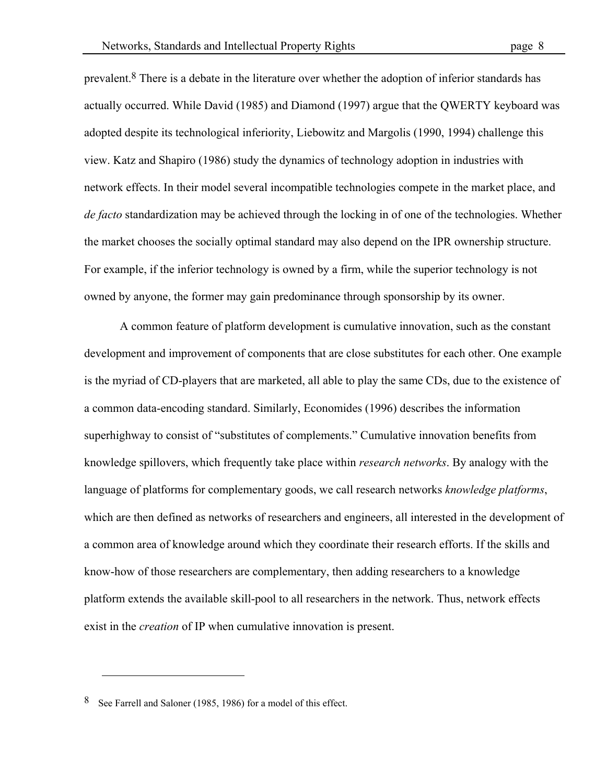prevalent.8 There is a debate in the literature over whether the adoption of inferior standards has actually occurred. While David (1985) and Diamond (1997) argue that the QWERTY keyboard was adopted despite its technological inferiority, Liebowitz and Margolis (1990, 1994) challenge this view. Katz and Shapiro (1986) study the dynamics of technology adoption in industries with network effects. In their model several incompatible technologies compete in the market place, and *de facto* standardization may be achieved through the locking in of one of the technologies. Whether the market chooses the socially optimal standard may also depend on the IPR ownership structure. For example, if the inferior technology is owned by a firm, while the superior technology is not owned by anyone, the former may gain predominance through sponsorship by its owner.

A common feature of platform development is cumulative innovation, such as the constant development and improvement of components that are close substitutes for each other. One example is the myriad of CD-players that are marketed, all able to play the same CDs, due to the existence of a common data-encoding standard. Similarly, Economides (1996) describes the information superhighway to consist of "substitutes of complements." Cumulative innovation benefits from knowledge spillovers, which frequently take place within *research networks*. By analogy with the language of platforms for complementary goods, we call research networks *knowledge platforms*, which are then defined as networks of researchers and engineers, all interested in the development of a common area of knowledge around which they coordinate their research efforts. If the skills and know-how of those researchers are complementary, then adding researchers to a knowledge platform extends the available skill-pool to all researchers in the network. Thus, network effects exist in the *creation* of IP when cumulative innovation is present.

<sup>8</sup> See Farrell and Saloner (1985, 1986) for a model of this effect.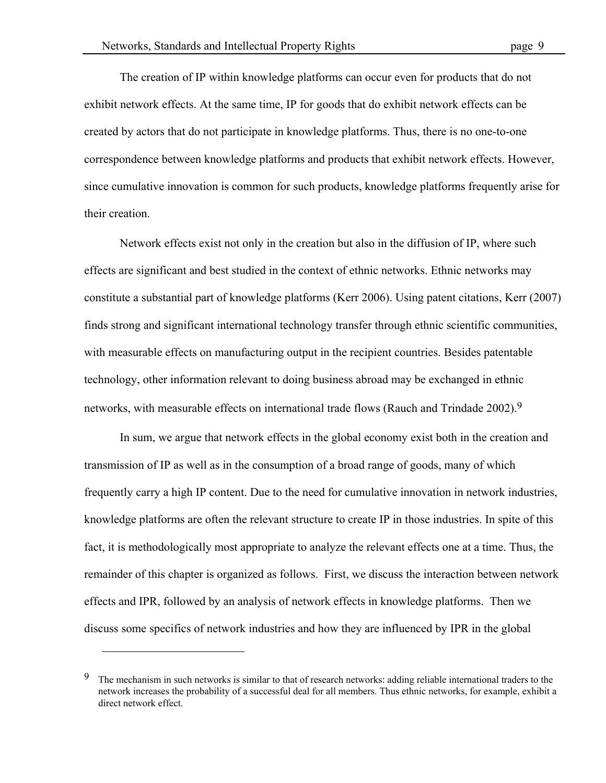The creation of IP within knowledge platforms can occur even for products that do not exhibit network effects. At the same time, IP for goods that do exhibit network effects can be created by actors that do not participate in knowledge platforms. Thus, there is no one-to-one correspondence between knowledge platforms and products that exhibit network effects. However, since cumulative innovation is common for such products, knowledge platforms frequently arise for their creation.

Network effects exist not only in the creation but also in the diffusion of IP, where such effects are significant and best studied in the context of ethnic networks. Ethnic networks may constitute a substantial part of knowledge platforms (Kerr 2006). Using patent citations, Kerr (2007) finds strong and significant international technology transfer through ethnic scientific communities, with measurable effects on manufacturing output in the recipient countries. Besides patentable technology, other information relevant to doing business abroad may be exchanged in ethnic networks, with measurable effects on international trade flows (Rauch and Trindade 2002).9

In sum, we argue that network effects in the global economy exist both in the creation and transmission of IP as well as in the consumption of a broad range of goods, many of which frequently carry a high IP content. Due to the need for cumulative innovation in network industries, knowledge platforms are often the relevant structure to create IP in those industries. In spite of this fact, it is methodologically most appropriate to analyze the relevant effects one at a time. Thus, the remainder of this chapter is organized as follows. First, we discuss the interaction between network effects and IPR, followed by an analysis of network effects in knowledge platforms. Then we discuss some specifics of network industries and how they are influenced by IPR in the global

<sup>&</sup>lt;sup>9</sup> The mechanism in such networks is similar to that of research networks: adding reliable international traders to the network increases the probability of a successful deal for all members. Thus ethnic networks, for example, exhibit a direct network effect.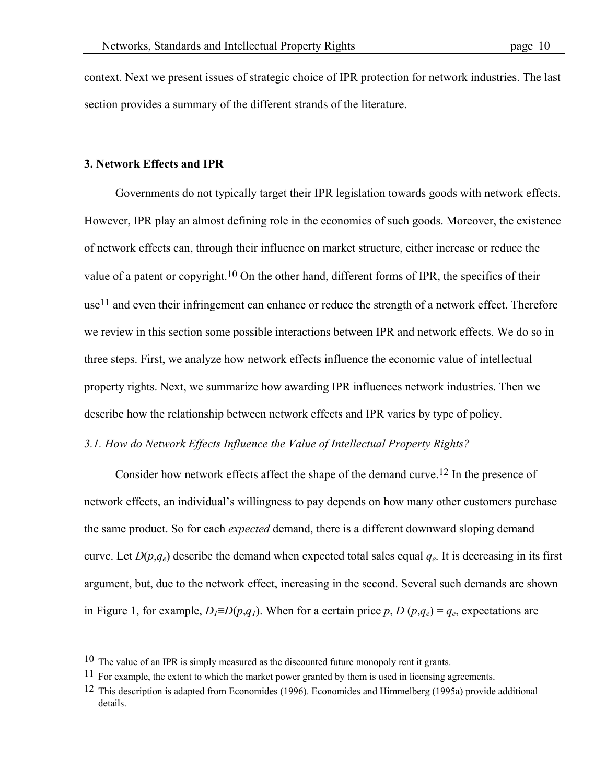context. Next we present issues of strategic choice of IPR protection for network industries. The last section provides a summary of the different strands of the literature.

## **3. Network Effects and IPR**

<u>.</u>

Governments do not typically target their IPR legislation towards goods with network effects. However, IPR play an almost defining role in the economics of such goods. Moreover, the existence of network effects can, through their influence on market structure, either increase or reduce the value of a patent or copyright.<sup>10</sup> On the other hand, different forms of IPR, the specifics of their use<sup>11</sup> and even their infringement can enhance or reduce the strength of a network effect. Therefore we review in this section some possible interactions between IPR and network effects. We do so in three steps. First, we analyze how network effects influence the economic value of intellectual property rights. Next, we summarize how awarding IPR influences network industries. Then we describe how the relationship between network effects and IPR varies by type of policy.

## *3.1. How do Network Effects Influence the Value of Intellectual Property Rights?*

Consider how network effects affect the shape of the demand curve.<sup>12</sup> In the presence of network effects, an individual's willingness to pay depends on how many other customers purchase the same product. So for each *expected* demand, there is a different downward sloping demand curve. Let  $D(p,q_e)$  describe the demand when expected total sales equal  $q_e$ . It is decreasing in its first argument, but, due to the network effect, increasing in the second. Several such demands are shown in Figure 1, for example,  $D_l \equiv D(p, q_l)$ . When for a certain price p,  $D(p, q_e) = q_e$ , expectations are

 $10$  The value of an IPR is simply measured as the discounted future monopoly rent it grants.

 $11$  For example, the extent to which the market power granted by them is used in licensing agreements.

<sup>12</sup> This description is adapted from Economides (1996). Economides and Himmelberg (1995a) provide additional details.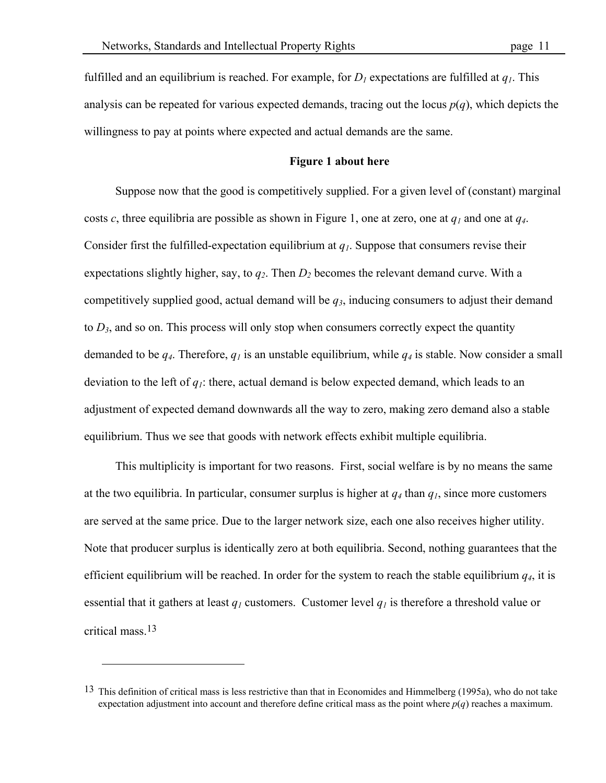fulfilled and an equilibrium is reached. For example, for  $D_l$  expectations are fulfilled at  $q_l$ . This analysis can be repeated for various expected demands, tracing out the locus  $p(q)$ , which depicts the willingness to pay at points where expected and actual demands are the same.

## **Figure 1 about here**

Suppose now that the good is competitively supplied. For a given level of (constant) marginal costs *c*, three equilibria are possible as shown in Figure 1, one at zero, one at  $q_1$  and one at  $q_4$ . Consider first the fulfilled-expectation equilibrium at *q1*. Suppose that consumers revise their expectations slightly higher, say, to  $q_2$ . Then  $D_2$  becomes the relevant demand curve. With a competitively supplied good, actual demand will be  $q_3$ , inducing consumers to adjust their demand to  $D_3$ , and so on. This process will only stop when consumers correctly expect the quantity demanded to be  $q_4$ . Therefore,  $q_1$  is an unstable equilibrium, while  $q_4$  is stable. Now consider a small deviation to the left of *q1*: there, actual demand is below expected demand, which leads to an adjustment of expected demand downwards all the way to zero, making zero demand also a stable equilibrium. Thus we see that goods with network effects exhibit multiple equilibria.

This multiplicity is important for two reasons. First, social welfare is by no means the same at the two equilibria. In particular, consumer surplus is higher at  $q_4$  than  $q_1$ , since more customers are served at the same price. Due to the larger network size, each one also receives higher utility. Note that producer surplus is identically zero at both equilibria. Second, nothing guarantees that the efficient equilibrium will be reached. In order for the system to reach the stable equilibrium  $q_4$ , it is essential that it gathers at least *q1* customers. Customer level *q1* is therefore a threshold value or critical mass.13

1

 $13$  This definition of critical mass is less restrictive than that in Economides and Himmelberg (1995a), who do not take expectation adjustment into account and therefore define critical mass as the point where  $p(q)$  reaches a maximum.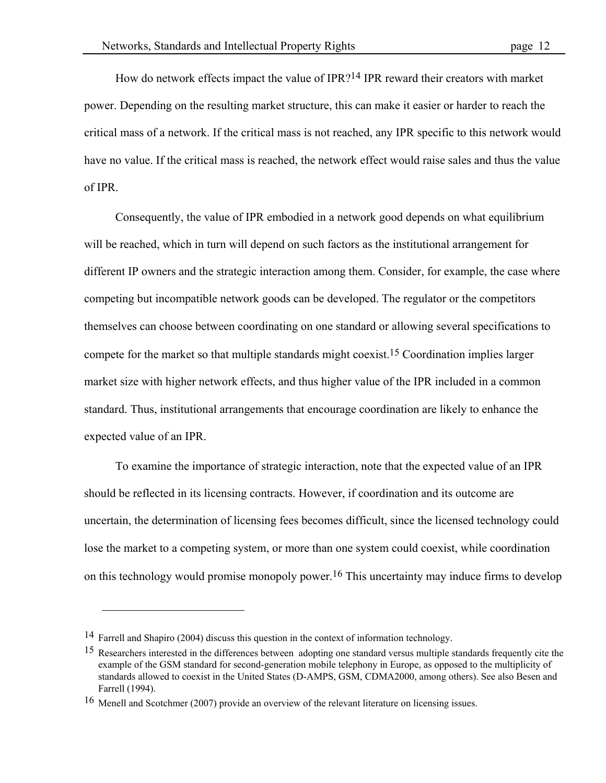How do network effects impact the value of IPR?14 IPR reward their creators with market power. Depending on the resulting market structure, this can make it easier or harder to reach the critical mass of a network. If the critical mass is not reached, any IPR specific to this network would have no value. If the critical mass is reached, the network effect would raise sales and thus the value of IPR.

Consequently, the value of IPR embodied in a network good depends on what equilibrium will be reached, which in turn will depend on such factors as the institutional arrangement for different IP owners and the strategic interaction among them. Consider, for example, the case where competing but incompatible network goods can be developed. The regulator or the competitors themselves can choose between coordinating on one standard or allowing several specifications to compete for the market so that multiple standards might coexist.15 Coordination implies larger market size with higher network effects, and thus higher value of the IPR included in a common standard. Thus, institutional arrangements that encourage coordination are likely to enhance the expected value of an IPR.

To examine the importance of strategic interaction, note that the expected value of an IPR should be reflected in its licensing contracts. However, if coordination and its outcome are uncertain, the determination of licensing fees becomes difficult, since the licensed technology could lose the market to a competing system, or more than one system could coexist, while coordination on this technology would promise monopoly power.16 This uncertainty may induce firms to develop

<sup>14</sup> Farrell and Shapiro (2004) discuss this question in the context of information technology.

<sup>&</sup>lt;sup>15</sup> Researchers interested in the differences between adopting one standard versus multiple standards frequently cite the example of the GSM standard for second-generation mobile telephony in Europe, as opposed to the multiplicity of standards allowed to coexist in the United States (D-AMPS, GSM, CDMA2000, among others). See also Besen and Farrell (1994).

<sup>16</sup> Menell and Scotchmer (2007) provide an overview of the relevant literature on licensing issues.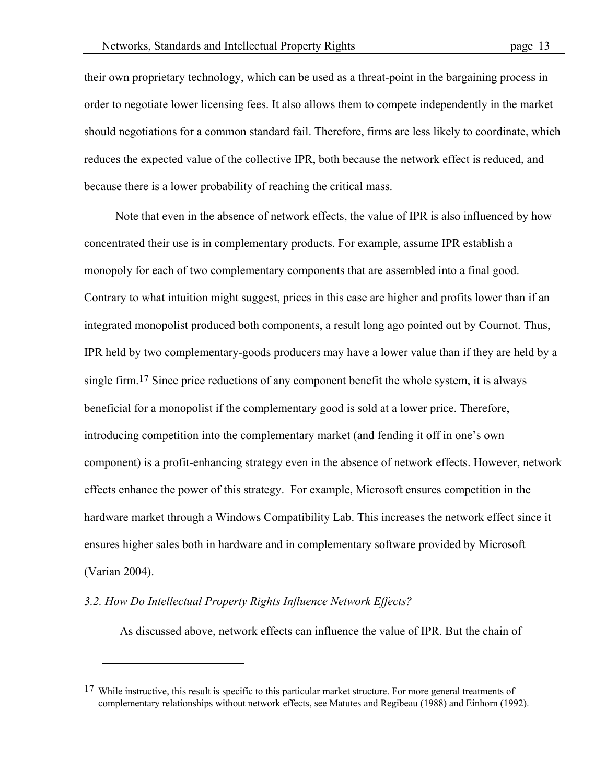their own proprietary technology, which can be used as a threat-point in the bargaining process in order to negotiate lower licensing fees. It also allows them to compete independently in the market should negotiations for a common standard fail. Therefore, firms are less likely to coordinate, which reduces the expected value of the collective IPR, both because the network effect is reduced, and because there is a lower probability of reaching the critical mass.

Note that even in the absence of network effects, the value of IPR is also influenced by how concentrated their use is in complementary products. For example, assume IPR establish a monopoly for each of two complementary components that are assembled into a final good. Contrary to what intuition might suggest, prices in this case are higher and profits lower than if an integrated monopolist produced both components, a result long ago pointed out by Cournot. Thus, IPR held by two complementary-goods producers may have a lower value than if they are held by a single firm.<sup>17</sup> Since price reductions of any component benefit the whole system, it is always beneficial for a monopolist if the complementary good is sold at a lower price. Therefore, introducing competition into the complementary market (and fending it off in one's own component) is a profit-enhancing strategy even in the absence of network effects. However, network effects enhance the power of this strategy. For example, Microsoft ensures competition in the hardware market through a Windows Compatibility Lab. This increases the network effect since it ensures higher sales both in hardware and in complementary software provided by Microsoft (Varian 2004).

## *3.2. How Do Intellectual Property Rights Influence Network Effects?*

<u>.</u>

As discussed above, network effects can influence the value of IPR. But the chain of

<sup>&</sup>lt;sup>17</sup> While instructive, this result is specific to this particular market structure. For more general treatments of complementary relationships without network effects, see Matutes and Regibeau (1988) and Einhorn (1992).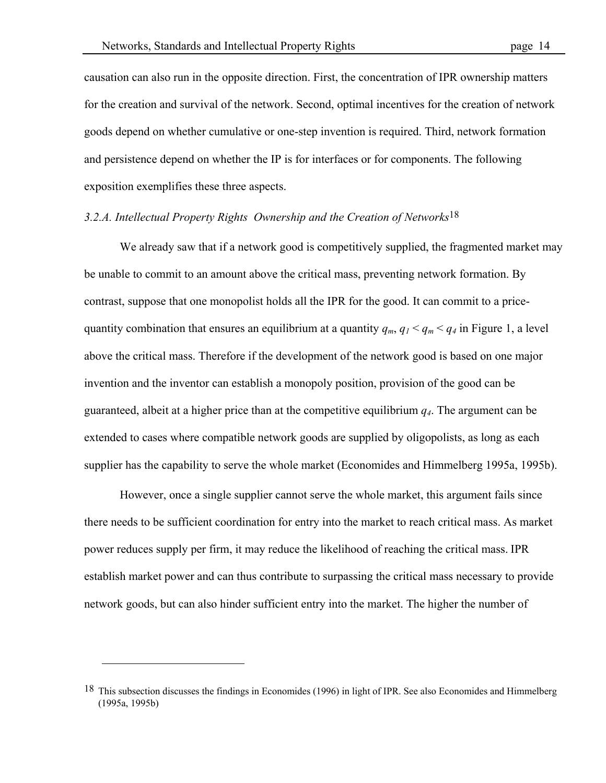causation can also run in the opposite direction. First, the concentration of IPR ownership matters for the creation and survival of the network. Second, optimal incentives for the creation of network goods depend on whether cumulative or one-step invention is required. Third, network formation and persistence depend on whether the IP is for interfaces or for components. The following exposition exemplifies these three aspects.

## *3.2.A. Intellectual Property Rights Ownership and the Creation of Networks*18

We already saw that if a network good is competitively supplied, the fragmented market may be unable to commit to an amount above the critical mass, preventing network formation. By contrast, suppose that one monopolist holds all the IPR for the good. It can commit to a pricequantity combination that ensures an equilibrium at a quantity  $q_m$ ,  $q_1 < q_m < q_4$  in Figure 1, a level above the critical mass. Therefore if the development of the network good is based on one major invention and the inventor can establish a monopoly position, provision of the good can be guaranteed, albeit at a higher price than at the competitive equilibrium *q4*. The argument can be extended to cases where compatible network goods are supplied by oligopolists, as long as each supplier has the capability to serve the whole market (Economides and Himmelberg 1995a, 1995b).

However, once a single supplier cannot serve the whole market, this argument fails since there needs to be sufficient coordination for entry into the market to reach critical mass. As market power reduces supply per firm, it may reduce the likelihood of reaching the critical mass. IPR establish market power and can thus contribute to surpassing the critical mass necessary to provide network goods, but can also hinder sufficient entry into the market. The higher the number of

<sup>&</sup>lt;sup>18</sup> This subsection discusses the findings in Economides (1996) in light of IPR. See also Economides and Himmelberg (1995a, 1995b)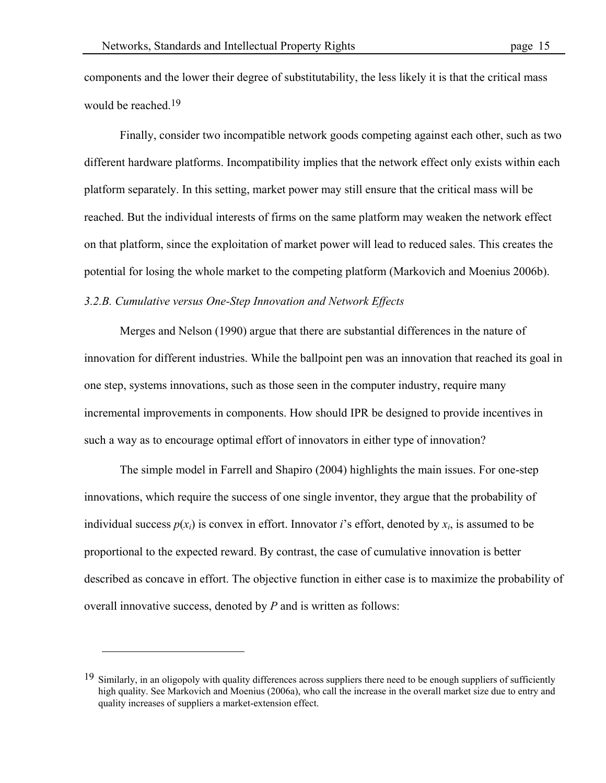components and the lower their degree of substitutability, the less likely it is that the critical mass would be reached.<sup>19</sup>

Finally, consider two incompatible network goods competing against each other, such as two different hardware platforms. Incompatibility implies that the network effect only exists within each platform separately. In this setting, market power may still ensure that the critical mass will be reached. But the individual interests of firms on the same platform may weaken the network effect on that platform, since the exploitation of market power will lead to reduced sales. This creates the potential for losing the whole market to the competing platform (Markovich and Moenius 2006b).

## *3.2.B. Cumulative versus One-Step Innovation and Network Effects*

<u>.</u>

Merges and Nelson (1990) argue that there are substantial differences in the nature of innovation for different industries. While the ballpoint pen was an innovation that reached its goal in one step, systems innovations, such as those seen in the computer industry, require many incremental improvements in components. How should IPR be designed to provide incentives in such a way as to encourage optimal effort of innovators in either type of innovation?

The simple model in Farrell and Shapiro (2004) highlights the main issues. For one-step innovations, which require the success of one single inventor, they argue that the probability of individual success  $p(x_i)$  is convex in effort. Innovator *i*'s effort, denoted by  $x_i$ , is assumed to be proportional to the expected reward. By contrast, the case of cumulative innovation is better described as concave in effort. The objective function in either case is to maximize the probability of overall innovative success, denoted by *P* and is written as follows:

<sup>19</sup> Similarly, in an oligopoly with quality differences across suppliers there need to be enough suppliers of sufficiently high quality. See Markovich and Moenius (2006a), who call the increase in the overall market size due to entry and quality increases of suppliers a market-extension effect.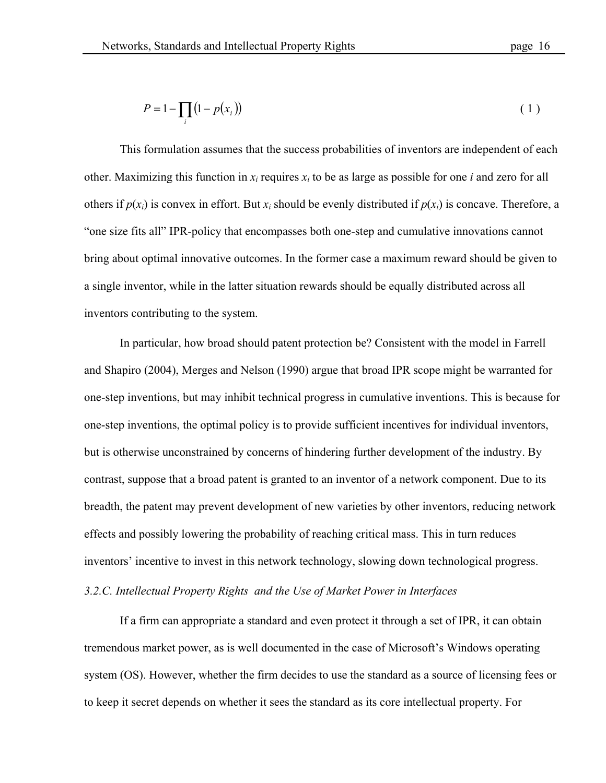$$
P = 1 - \prod_i (1 - p(x_i))
$$
\n<sup>(1)</sup>

This formulation assumes that the success probabilities of inventors are independent of each other. Maximizing this function in *xi* requires *xi* to be as large as possible for one *i* and zero for all others if  $p(x_i)$  is convex in effort. But  $x_i$  should be evenly distributed if  $p(x_i)$  is concave. Therefore, a "one size fits all" IPR-policy that encompasses both one-step and cumulative innovations cannot bring about optimal innovative outcomes. In the former case a maximum reward should be given to a single inventor, while in the latter situation rewards should be equally distributed across all inventors contributing to the system.

In particular, how broad should patent protection be? Consistent with the model in Farrell and Shapiro (2004), Merges and Nelson (1990) argue that broad IPR scope might be warranted for one-step inventions, but may inhibit technical progress in cumulative inventions. This is because for one-step inventions, the optimal policy is to provide sufficient incentives for individual inventors, but is otherwise unconstrained by concerns of hindering further development of the industry. By contrast, suppose that a broad patent is granted to an inventor of a network component. Due to its breadth, the patent may prevent development of new varieties by other inventors, reducing network effects and possibly lowering the probability of reaching critical mass. This in turn reduces inventors' incentive to invest in this network technology, slowing down technological progress. *3.2.C. Intellectual Property Rights and the Use of Market Power in Interfaces* 

If a firm can appropriate a standard and even protect it through a set of IPR, it can obtain tremendous market power, as is well documented in the case of Microsoft's Windows operating system (OS). However, whether the firm decides to use the standard as a source of licensing fees or to keep it secret depends on whether it sees the standard as its core intellectual property. For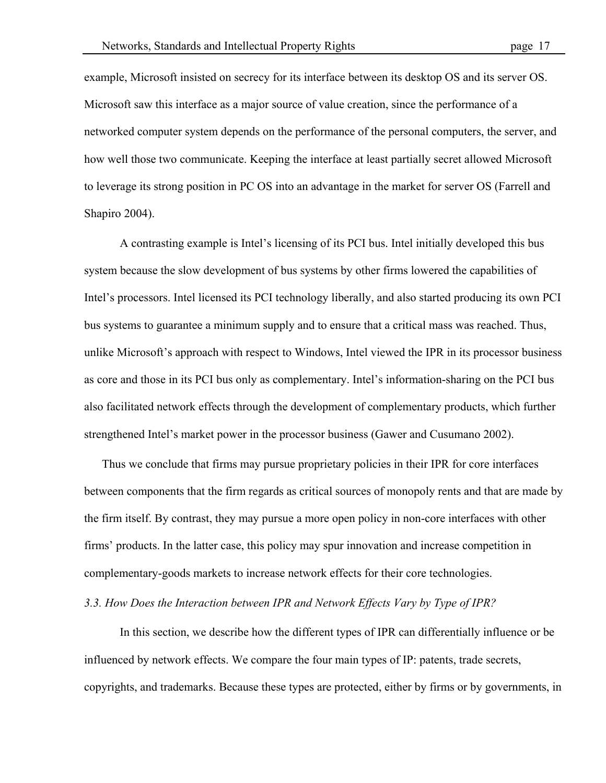example, Microsoft insisted on secrecy for its interface between its desktop OS and its server OS. Microsoft saw this interface as a major source of value creation, since the performance of a networked computer system depends on the performance of the personal computers, the server, and how well those two communicate. Keeping the interface at least partially secret allowed Microsoft to leverage its strong position in PC OS into an advantage in the market for server OS (Farrell and Shapiro 2004).

A contrasting example is Intel's licensing of its PCI bus. Intel initially developed this bus system because the slow development of bus systems by other firms lowered the capabilities of Intel's processors. Intel licensed its PCI technology liberally, and also started producing its own PCI bus systems to guarantee a minimum supply and to ensure that a critical mass was reached. Thus, unlike Microsoft's approach with respect to Windows, Intel viewed the IPR in its processor business as core and those in its PCI bus only as complementary. Intel's information-sharing on the PCI bus also facilitated network effects through the development of complementary products, which further strengthened Intel's market power in the processor business (Gawer and Cusumano 2002).

Thus we conclude that firms may pursue proprietary policies in their IPR for core interfaces between components that the firm regards as critical sources of monopoly rents and that are made by the firm itself. By contrast, they may pursue a more open policy in non-core interfaces with other firms' products. In the latter case, this policy may spur innovation and increase competition in complementary-goods markets to increase network effects for their core technologies.

## *3.3. How Does the Interaction between IPR and Network Effects Vary by Type of IPR?*

In this section, we describe how the different types of IPR can differentially influence or be influenced by network effects. We compare the four main types of IP: patents, trade secrets, copyrights, and trademarks. Because these types are protected, either by firms or by governments, in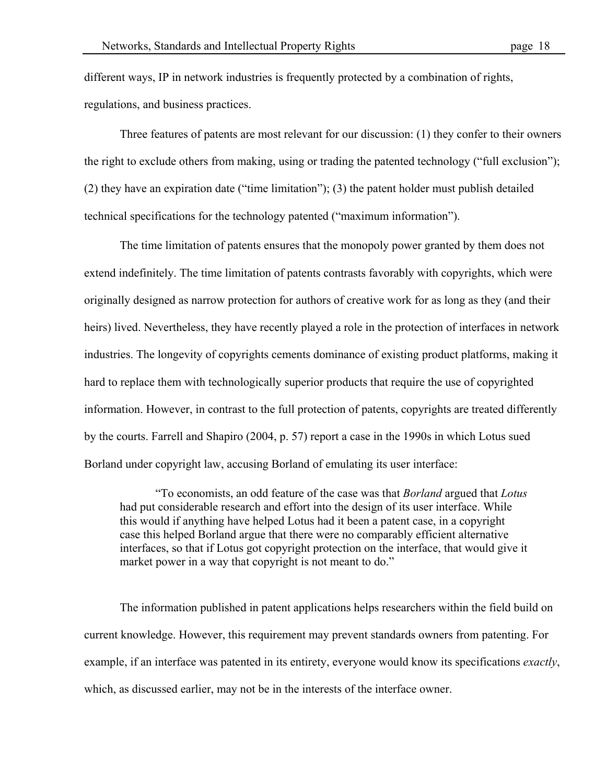different ways, IP in network industries is frequently protected by a combination of rights, regulations, and business practices.

Three features of patents are most relevant for our discussion: (1) they confer to their owners the right to exclude others from making, using or trading the patented technology ("full exclusion"); (2) they have an expiration date ("time limitation"); (3) the patent holder must publish detailed technical specifications for the technology patented ("maximum information").

The time limitation of patents ensures that the monopoly power granted by them does not extend indefinitely. The time limitation of patents contrasts favorably with copyrights, which were originally designed as narrow protection for authors of creative work for as long as they (and their heirs) lived. Nevertheless, they have recently played a role in the protection of interfaces in network industries. The longevity of copyrights cements dominance of existing product platforms, making it hard to replace them with technologically superior products that require the use of copyrighted information. However, in contrast to the full protection of patents, copyrights are treated differently by the courts. Farrell and Shapiro (2004, p. 57) report a case in the 1990s in which Lotus sued Borland under copyright law, accusing Borland of emulating its user interface:

"To economists, an odd feature of the case was that *Borland* argued that *Lotus* had put considerable research and effort into the design of its user interface. While this would if anything have helped Lotus had it been a patent case, in a copyright case this helped Borland argue that there were no comparably efficient alternative interfaces, so that if Lotus got copyright protection on the interface, that would give it market power in a way that copyright is not meant to do."

The information published in patent applications helps researchers within the field build on current knowledge. However, this requirement may prevent standards owners from patenting. For example, if an interface was patented in its entirety, everyone would know its specifications *exactly*, which, as discussed earlier, may not be in the interests of the interface owner.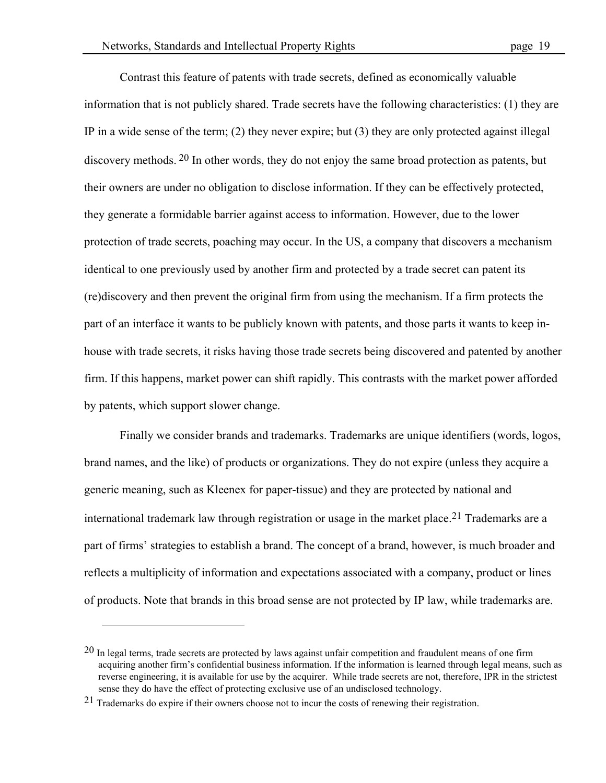Contrast this feature of patents with trade secrets, defined as economically valuable information that is not publicly shared. Trade secrets have the following characteristics: (1) they are IP in a wide sense of the term; (2) they never expire; but  $(3)$  they are only protected against illegal discovery methods. 20 In other words, they do not enjoy the same broad protection as patents, but their owners are under no obligation to disclose information. If they can be effectively protected, they generate a formidable barrier against access to information. However, due to the lower protection of trade secrets, poaching may occur. In the US, a company that discovers a mechanism identical to one previously used by another firm and protected by a trade secret can patent its (re)discovery and then prevent the original firm from using the mechanism. If a firm protects the part of an interface it wants to be publicly known with patents, and those parts it wants to keep inhouse with trade secrets, it risks having those trade secrets being discovered and patented by another firm. If this happens, market power can shift rapidly. This contrasts with the market power afforded by patents, which support slower change.

Finally we consider brands and trademarks. Trademarks are unique identifiers (words, logos, brand names, and the like) of products or organizations. They do not expire (unless they acquire a generic meaning, such as Kleenex for paper-tissue) and they are protected by national and international trademark law through registration or usage in the market place.<sup>21</sup> Trademarks are a part of firms' strategies to establish a brand. The concept of a brand, however, is much broader and reflects a multiplicity of information and expectations associated with a company, product or lines of products. Note that brands in this broad sense are not protected by IP law, while trademarks are.

 $20$  In legal terms, trade secrets are protected by laws against unfair competition and fraudulent means of one firm acquiring another firm's confidential business information. If the information is learned through legal means, such as reverse engineering, it is available for use by the acquirer. While trade secrets are not, therefore, IPR in the strictest sense they do have the effect of protecting exclusive use of an undisclosed technology.

<sup>21</sup> Trademarks do expire if their owners choose not to incur the costs of renewing their registration.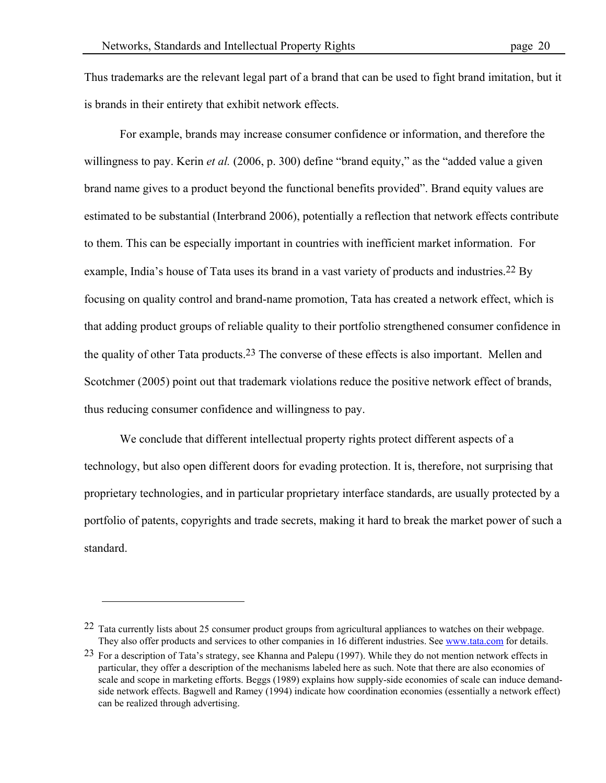Thus trademarks are the relevant legal part of a brand that can be used to fight brand imitation, but it is brands in their entirety that exhibit network effects.

For example, brands may increase consumer confidence or information, and therefore the willingness to pay. Kerin *et al.* (2006, p. 300) define "brand equity," as the "added value a given brand name gives to a product beyond the functional benefits provided". Brand equity values are estimated to be substantial (Interbrand 2006), potentially a reflection that network effects contribute to them. This can be especially important in countries with inefficient market information. For example, India's house of Tata uses its brand in a vast variety of products and industries.<sup>22</sup> By focusing on quality control and brand-name promotion, Tata has created a network effect, which is that adding product groups of reliable quality to their portfolio strengthened consumer confidence in the quality of other Tata products.<sup>23</sup> The converse of these effects is also important. Mellen and Scotchmer (2005) point out that trademark violations reduce the positive network effect of brands, thus reducing consumer confidence and willingness to pay.

We conclude that different intellectual property rights protect different aspects of a technology, but also open different doors for evading protection. It is, therefore, not surprising that proprietary technologies, and in particular proprietary interface standards, are usually protected by a portfolio of patents, copyrights and trade secrets, making it hard to break the market power of such a standard.

<sup>22</sup> Tata currently lists about 25 consumer product groups from agricultural appliances to watches on their webpage. They also offer products and services to other companies in 16 different industries. See www.tata.com for details.

<sup>&</sup>lt;sup>23</sup> For a description of Tata's strategy, see Khanna and Palepu (1997). While they do not mention network effects in particular, they offer a description of the mechanisms labeled here as such. Note that there are also economies of scale and scope in marketing efforts. Beggs (1989) explains how supply-side economies of scale can induce demandside network effects. Bagwell and Ramey (1994) indicate how coordination economies (essentially a network effect) can be realized through advertising.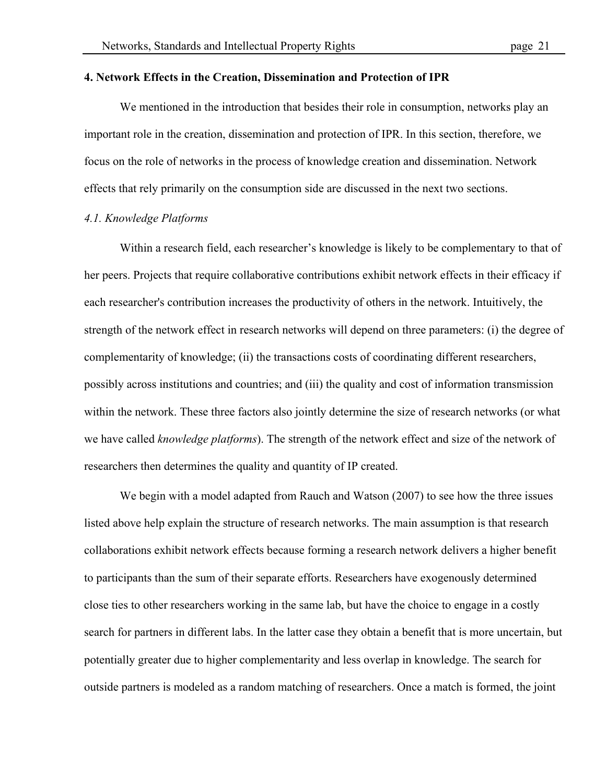## **4. Network Effects in the Creation, Dissemination and Protection of IPR**

We mentioned in the introduction that besides their role in consumption, networks play an important role in the creation, dissemination and protection of IPR. In this section, therefore, we focus on the role of networks in the process of knowledge creation and dissemination. Network effects that rely primarily on the consumption side are discussed in the next two sections.

## *4.1. Knowledge Platforms*

Within a research field, each researcher's knowledge is likely to be complementary to that of her peers. Projects that require collaborative contributions exhibit network effects in their efficacy if each researcher's contribution increases the productivity of others in the network. Intuitively, the strength of the network effect in research networks will depend on three parameters: (i) the degree of complementarity of knowledge; (ii) the transactions costs of coordinating different researchers, possibly across institutions and countries; and (iii) the quality and cost of information transmission within the network. These three factors also jointly determine the size of research networks (or what we have called *knowledge platforms*). The strength of the network effect and size of the network of researchers then determines the quality and quantity of IP created.

We begin with a model adapted from Rauch and Watson (2007) to see how the three issues listed above help explain the structure of research networks. The main assumption is that research collaborations exhibit network effects because forming a research network delivers a higher benefit to participants than the sum of their separate efforts. Researchers have exogenously determined close ties to other researchers working in the same lab, but have the choice to engage in a costly search for partners in different labs. In the latter case they obtain a benefit that is more uncertain, but potentially greater due to higher complementarity and less overlap in knowledge. The search for outside partners is modeled as a random matching of researchers. Once a match is formed, the joint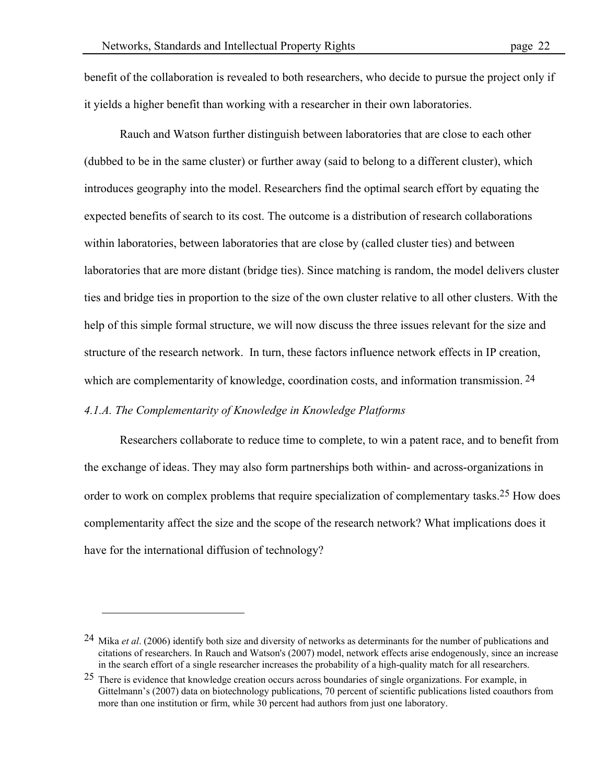benefit of the collaboration is revealed to both researchers, who decide to pursue the project only if it yields a higher benefit than working with a researcher in their own laboratories.

Rauch and Watson further distinguish between laboratories that are close to each other (dubbed to be in the same cluster) or further away (said to belong to a different cluster), which introduces geography into the model. Researchers find the optimal search effort by equating the expected benefits of search to its cost. The outcome is a distribution of research collaborations within laboratories, between laboratories that are close by (called cluster ties) and between laboratories that are more distant (bridge ties). Since matching is random, the model delivers cluster ties and bridge ties in proportion to the size of the own cluster relative to all other clusters. With the help of this simple formal structure, we will now discuss the three issues relevant for the size and structure of the research network. In turn, these factors influence network effects in IP creation, which are complementarity of knowledge, coordination costs, and information transmission. <sup>24</sup>

*4.1.A. The Complementarity of Knowledge in Knowledge Platforms* 

<u>.</u>

Researchers collaborate to reduce time to complete, to win a patent race, and to benefit from the exchange of ideas. They may also form partnerships both within- and across-organizations in order to work on complex problems that require specialization of complementary tasks.25 How does complementarity affect the size and the scope of the research network? What implications does it have for the international diffusion of technology?

<sup>24</sup> Mika *et al*. (2006) identify both size and diversity of networks as determinants for the number of publications and citations of researchers. In Rauch and Watson's (2007) model, network effects arise endogenously, since an increase in the search effort of a single researcher increases the probability of a high-quality match for all researchers.

<sup>25</sup> There is evidence that knowledge creation occurs across boundaries of single organizations. For example, in Gittelmann's (2007) data on biotechnology publications, 70 percent of scientific publications listed coauthors from more than one institution or firm, while 30 percent had authors from just one laboratory.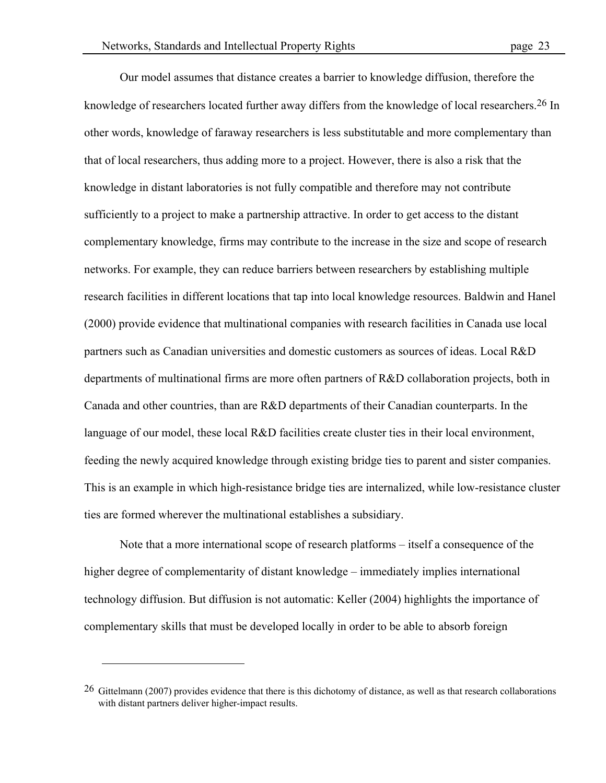Our model assumes that distance creates a barrier to knowledge diffusion, therefore the knowledge of researchers located further away differs from the knowledge of local researchers.26 In other words, knowledge of faraway researchers is less substitutable and more complementary than that of local researchers, thus adding more to a project. However, there is also a risk that the knowledge in distant laboratories is not fully compatible and therefore may not contribute sufficiently to a project to make a partnership attractive. In order to get access to the distant complementary knowledge, firms may contribute to the increase in the size and scope of research networks. For example, they can reduce barriers between researchers by establishing multiple research facilities in different locations that tap into local knowledge resources. Baldwin and Hanel (2000) provide evidence that multinational companies with research facilities in Canada use local partners such as Canadian universities and domestic customers as sources of ideas. Local R&D departments of multinational firms are more often partners of R&D collaboration projects, both in Canada and other countries, than are R&D departments of their Canadian counterparts. In the language of our model, these local R&D facilities create cluster ties in their local environment, feeding the newly acquired knowledge through existing bridge ties to parent and sister companies. This is an example in which high-resistance bridge ties are internalized, while low-resistance cluster ties are formed wherever the multinational establishes a subsidiary.

Note that a more international scope of research platforms – itself a consequence of the higher degree of complementarity of distant knowledge – immediately implies international technology diffusion. But diffusion is not automatic: Keller (2004) highlights the importance of complementary skills that must be developed locally in order to be able to absorb foreign

 $26$  Gittelmann (2007) provides evidence that there is this dichotomy of distance, as well as that research collaborations with distant partners deliver higher-impact results.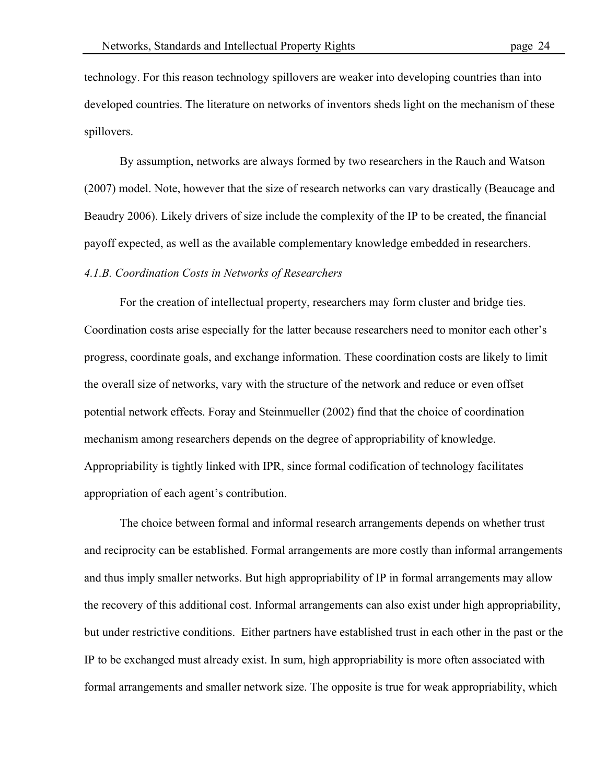technology. For this reason technology spillovers are weaker into developing countries than into developed countries. The literature on networks of inventors sheds light on the mechanism of these spillovers.

By assumption, networks are always formed by two researchers in the Rauch and Watson (2007) model. Note, however that the size of research networks can vary drastically (Beaucage and Beaudry 2006). Likely drivers of size include the complexity of the IP to be created, the financial payoff expected, as well as the available complementary knowledge embedded in researchers.

## *4.1.B. Coordination Costs in Networks of Researchers*

For the creation of intellectual property, researchers may form cluster and bridge ties. Coordination costs arise especially for the latter because researchers need to monitor each other's progress, coordinate goals, and exchange information. These coordination costs are likely to limit the overall size of networks, vary with the structure of the network and reduce or even offset potential network effects. Foray and Steinmueller (2002) find that the choice of coordination mechanism among researchers depends on the degree of appropriability of knowledge. Appropriability is tightly linked with IPR, since formal codification of technology facilitates appropriation of each agent's contribution.

The choice between formal and informal research arrangements depends on whether trust and reciprocity can be established. Formal arrangements are more costly than informal arrangements and thus imply smaller networks. But high appropriability of IP in formal arrangements may allow the recovery of this additional cost. Informal arrangements can also exist under high appropriability, but under restrictive conditions. Either partners have established trust in each other in the past or the IP to be exchanged must already exist. In sum, high appropriability is more often associated with formal arrangements and smaller network size. The opposite is true for weak appropriability, which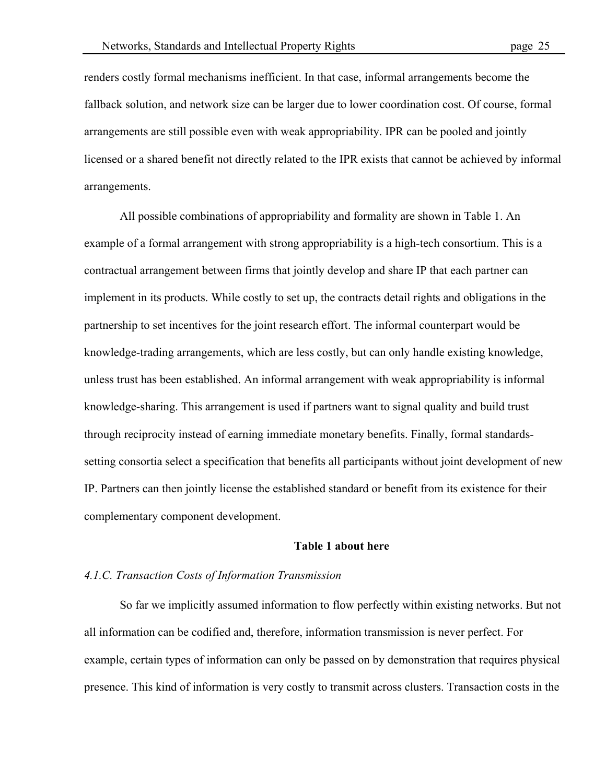renders costly formal mechanisms inefficient. In that case, informal arrangements become the fallback solution, and network size can be larger due to lower coordination cost. Of course, formal arrangements are still possible even with weak appropriability. IPR can be pooled and jointly licensed or a shared benefit not directly related to the IPR exists that cannot be achieved by informal arrangements.

All possible combinations of appropriability and formality are shown in Table 1. An example of a formal arrangement with strong appropriability is a high-tech consortium. This is a contractual arrangement between firms that jointly develop and share IP that each partner can implement in its products. While costly to set up, the contracts detail rights and obligations in the partnership to set incentives for the joint research effort. The informal counterpart would be knowledge-trading arrangements, which are less costly, but can only handle existing knowledge, unless trust has been established. An informal arrangement with weak appropriability is informal knowledge-sharing. This arrangement is used if partners want to signal quality and build trust through reciprocity instead of earning immediate monetary benefits. Finally, formal standardssetting consortia select a specification that benefits all participants without joint development of new IP. Partners can then jointly license the established standard or benefit from its existence for their complementary component development.

#### **Table 1 about here**

## *4.1.C. Transaction Costs of Information Transmission*

So far we implicitly assumed information to flow perfectly within existing networks. But not all information can be codified and, therefore, information transmission is never perfect. For example, certain types of information can only be passed on by demonstration that requires physical presence. This kind of information is very costly to transmit across clusters. Transaction costs in the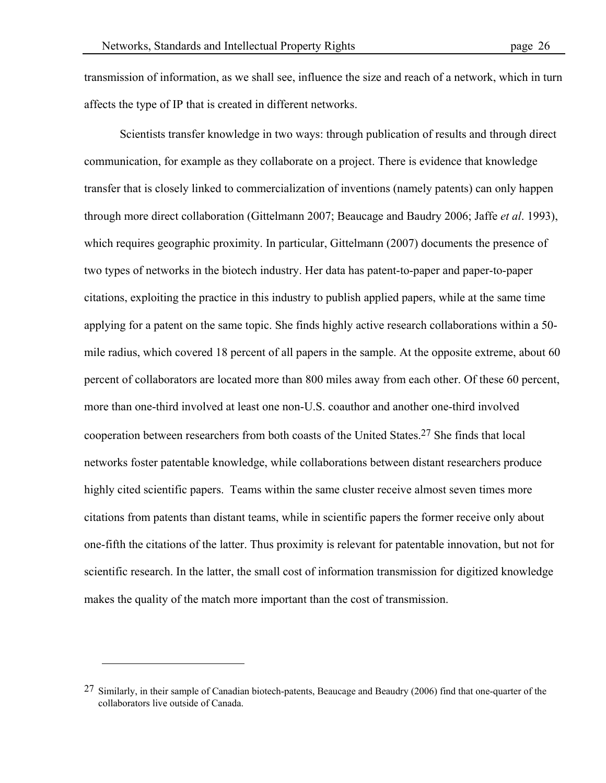transmission of information, as we shall see, influence the size and reach of a network, which in turn affects the type of IP that is created in different networks.

Scientists transfer knowledge in two ways: through publication of results and through direct communication, for example as they collaborate on a project. There is evidence that knowledge transfer that is closely linked to commercialization of inventions (namely patents) can only happen through more direct collaboration (Gittelmann 2007; Beaucage and Baudry 2006; Jaffe *et al*. 1993), which requires geographic proximity. In particular, Gittelmann (2007) documents the presence of two types of networks in the biotech industry. Her data has patent-to-paper and paper-to-paper citations, exploiting the practice in this industry to publish applied papers, while at the same time applying for a patent on the same topic. She finds highly active research collaborations within a 50 mile radius, which covered 18 percent of all papers in the sample. At the opposite extreme, about 60 percent of collaborators are located more than 800 miles away from each other. Of these 60 percent, more than one-third involved at least one non-U.S. coauthor and another one-third involved cooperation between researchers from both coasts of the United States.27 She finds that local networks foster patentable knowledge, while collaborations between distant researchers produce highly cited scientific papers. Teams within the same cluster receive almost seven times more citations from patents than distant teams, while in scientific papers the former receive only about one-fifth the citations of the latter. Thus proximity is relevant for patentable innovation, but not for scientific research. In the latter, the small cost of information transmission for digitized knowledge makes the quality of the match more important than the cost of transmission.

<sup>27</sup> Similarly, in their sample of Canadian biotech-patents, Beaucage and Beaudry (2006) find that one-quarter of the collaborators live outside of Canada.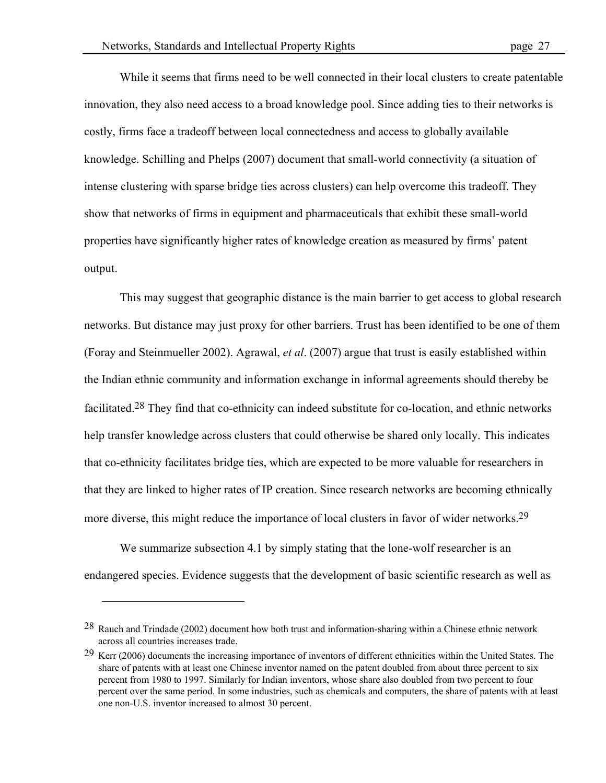While it seems that firms need to be well connected in their local clusters to create patentable innovation, they also need access to a broad knowledge pool. Since adding ties to their networks is costly, firms face a tradeoff between local connectedness and access to globally available knowledge. Schilling and Phelps (2007) document that small-world connectivity (a situation of intense clustering with sparse bridge ties across clusters) can help overcome this tradeoff. They show that networks of firms in equipment and pharmaceuticals that exhibit these small-world properties have significantly higher rates of knowledge creation as measured by firms' patent output.

This may suggest that geographic distance is the main barrier to get access to global research networks. But distance may just proxy for other barriers. Trust has been identified to be one of them (Foray and Steinmueller 2002). Agrawal, *et al*. (2007) argue that trust is easily established within the Indian ethnic community and information exchange in informal agreements should thereby be facilitated.28 They find that co-ethnicity can indeed substitute for co-location, and ethnic networks help transfer knowledge across clusters that could otherwise be shared only locally. This indicates that co-ethnicity facilitates bridge ties, which are expected to be more valuable for researchers in that they are linked to higher rates of IP creation. Since research networks are becoming ethnically more diverse, this might reduce the importance of local clusters in favor of wider networks.<sup>29</sup>

We summarize subsection 4.1 by simply stating that the lone-wolf researcher is an endangered species. Evidence suggests that the development of basic scientific research as well as

<sup>28</sup> Rauch and Trindade (2002) document how both trust and information-sharing within a Chinese ethnic network across all countries increases trade.

 $29$  Kerr (2006) documents the increasing importance of inventors of different ethnicities within the United States. The share of patents with at least one Chinese inventor named on the patent doubled from about three percent to six percent from 1980 to 1997. Similarly for Indian inventors, whose share also doubled from two percent to four percent over the same period. In some industries, such as chemicals and computers, the share of patents with at least one non-U.S. inventor increased to almost 30 percent.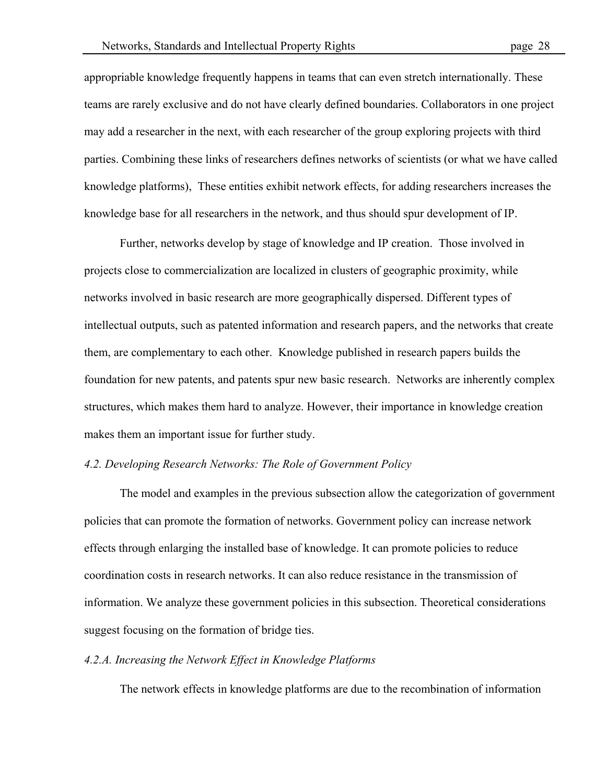appropriable knowledge frequently happens in teams that can even stretch internationally. These teams are rarely exclusive and do not have clearly defined boundaries. Collaborators in one project may add a researcher in the next, with each researcher of the group exploring projects with third parties. Combining these links of researchers defines networks of scientists (or what we have called knowledge platforms), These entities exhibit network effects, for adding researchers increases the knowledge base for all researchers in the network, and thus should spur development of IP.

Further, networks develop by stage of knowledge and IP creation. Those involved in projects close to commercialization are localized in clusters of geographic proximity, while networks involved in basic research are more geographically dispersed. Different types of intellectual outputs, such as patented information and research papers, and the networks that create them, are complementary to each other. Knowledge published in research papers builds the foundation for new patents, and patents spur new basic research. Networks are inherently complex structures, which makes them hard to analyze. However, their importance in knowledge creation makes them an important issue for further study.

## *4.2. Developing Research Networks: The Role of Government Policy*

The model and examples in the previous subsection allow the categorization of government policies that can promote the formation of networks. Government policy can increase network effects through enlarging the installed base of knowledge. It can promote policies to reduce coordination costs in research networks. It can also reduce resistance in the transmission of information. We analyze these government policies in this subsection. Theoretical considerations suggest focusing on the formation of bridge ties.

## *4.2.A. Increasing the Network Effect in Knowledge Platforms*

The network effects in knowledge platforms are due to the recombination of information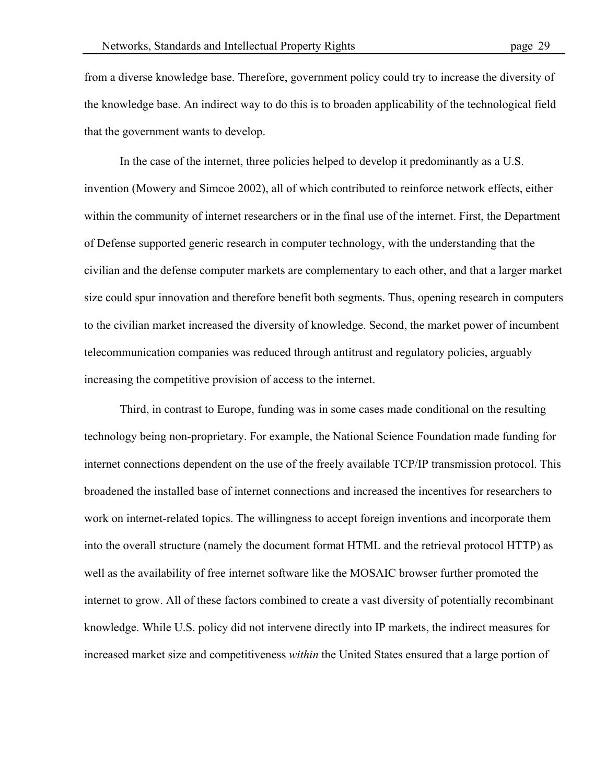from a diverse knowledge base. Therefore, government policy could try to increase the diversity of the knowledge base. An indirect way to do this is to broaden applicability of the technological field that the government wants to develop.

In the case of the internet, three policies helped to develop it predominantly as a U.S. invention (Mowery and Simcoe 2002), all of which contributed to reinforce network effects, either within the community of internet researchers or in the final use of the internet. First, the Department of Defense supported generic research in computer technology, with the understanding that the civilian and the defense computer markets are complementary to each other, and that a larger market size could spur innovation and therefore benefit both segments. Thus, opening research in computers to the civilian market increased the diversity of knowledge. Second, the market power of incumbent telecommunication companies was reduced through antitrust and regulatory policies, arguably increasing the competitive provision of access to the internet.

Third, in contrast to Europe, funding was in some cases made conditional on the resulting technology being non-proprietary. For example, the National Science Foundation made funding for internet connections dependent on the use of the freely available TCP/IP transmission protocol. This broadened the installed base of internet connections and increased the incentives for researchers to work on internet-related topics. The willingness to accept foreign inventions and incorporate them into the overall structure (namely the document format HTML and the retrieval protocol HTTP) as well as the availability of free internet software like the MOSAIC browser further promoted the internet to grow. All of these factors combined to create a vast diversity of potentially recombinant knowledge. While U.S. policy did not intervene directly into IP markets, the indirect measures for increased market size and competitiveness *within* the United States ensured that a large portion of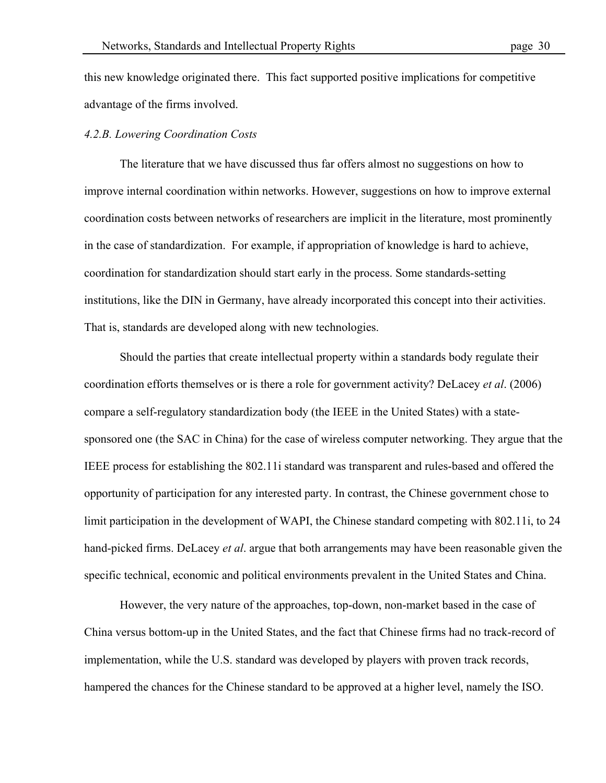this new knowledge originated there. This fact supported positive implications for competitive advantage of the firms involved.

#### *4.2.B. Lowering Coordination Costs*

The literature that we have discussed thus far offers almost no suggestions on how to improve internal coordination within networks. However, suggestions on how to improve external coordination costs between networks of researchers are implicit in the literature, most prominently in the case of standardization. For example, if appropriation of knowledge is hard to achieve, coordination for standardization should start early in the process. Some standards-setting institutions, like the DIN in Germany, have already incorporated this concept into their activities. That is, standards are developed along with new technologies.

Should the parties that create intellectual property within a standards body regulate their coordination efforts themselves or is there a role for government activity? DeLacey *et al*. (2006) compare a self-regulatory standardization body (the IEEE in the United States) with a statesponsored one (the SAC in China) for the case of wireless computer networking. They argue that the IEEE process for establishing the 802.11i standard was transparent and rules-based and offered the opportunity of participation for any interested party. In contrast, the Chinese government chose to limit participation in the development of WAPI, the Chinese standard competing with 802.11i, to 24 hand-picked firms. DeLacey *et al*. argue that both arrangements may have been reasonable given the specific technical, economic and political environments prevalent in the United States and China.

However, the very nature of the approaches, top-down, non-market based in the case of China versus bottom-up in the United States, and the fact that Chinese firms had no track-record of implementation, while the U.S. standard was developed by players with proven track records, hampered the chances for the Chinese standard to be approved at a higher level, namely the ISO.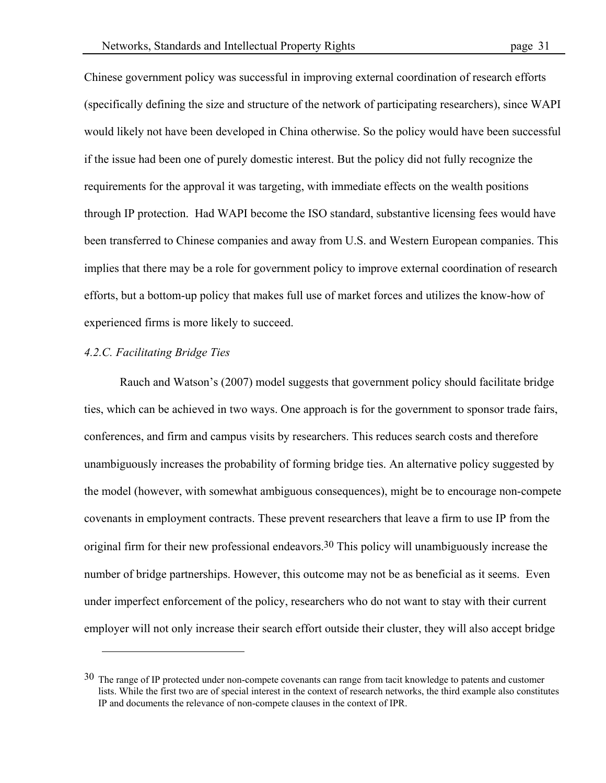Chinese government policy was successful in improving external coordination of research efforts (specifically defining the size and structure of the network of participating researchers), since WAPI would likely not have been developed in China otherwise. So the policy would have been successful if the issue had been one of purely domestic interest. But the policy did not fully recognize the requirements for the approval it was targeting, with immediate effects on the wealth positions through IP protection. Had WAPI become the ISO standard, substantive licensing fees would have been transferred to Chinese companies and away from U.S. and Western European companies. This implies that there may be a role for government policy to improve external coordination of research efforts, but a bottom-up policy that makes full use of market forces and utilizes the know-how of experienced firms is more likely to succeed.

## *4.2.C. Facilitating Bridge Ties*

<u>.</u>

Rauch and Watson's (2007) model suggests that government policy should facilitate bridge ties, which can be achieved in two ways. One approach is for the government to sponsor trade fairs, conferences, and firm and campus visits by researchers. This reduces search costs and therefore unambiguously increases the probability of forming bridge ties. An alternative policy suggested by the model (however, with somewhat ambiguous consequences), might be to encourage non-compete covenants in employment contracts. These prevent researchers that leave a firm to use IP from the original firm for their new professional endeavors.<sup>30</sup> This policy will unambiguously increase the number of bridge partnerships. However, this outcome may not be as beneficial as it seems. Even under imperfect enforcement of the policy, researchers who do not want to stay with their current employer will not only increase their search effort outside their cluster, they will also accept bridge

<sup>&</sup>lt;sup>30</sup> The range of IP protected under non-compete covenants can range from tacit knowledge to patents and customer lists. While the first two are of special interest in the context of research networks, the third example also constitutes IP and documents the relevance of non-compete clauses in the context of IPR.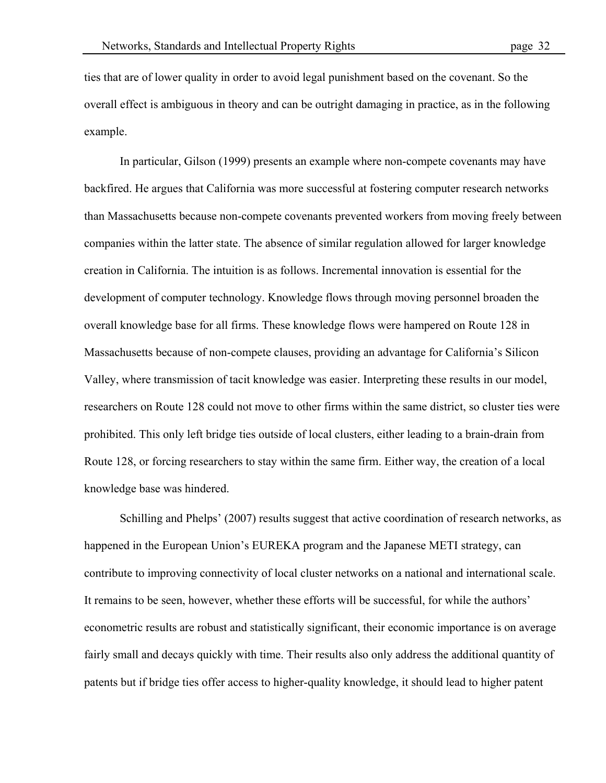ties that are of lower quality in order to avoid legal punishment based on the covenant. So the overall effect is ambiguous in theory and can be outright damaging in practice, as in the following example.

In particular, Gilson (1999) presents an example where non-compete covenants may have backfired. He argues that California was more successful at fostering computer research networks than Massachusetts because non-compete covenants prevented workers from moving freely between companies within the latter state. The absence of similar regulation allowed for larger knowledge creation in California. The intuition is as follows. Incremental innovation is essential for the development of computer technology. Knowledge flows through moving personnel broaden the overall knowledge base for all firms. These knowledge flows were hampered on Route 128 in Massachusetts because of non-compete clauses, providing an advantage for California's Silicon Valley, where transmission of tacit knowledge was easier. Interpreting these results in our model, researchers on Route 128 could not move to other firms within the same district, so cluster ties were prohibited. This only left bridge ties outside of local clusters, either leading to a brain-drain from Route 128, or forcing researchers to stay within the same firm. Either way, the creation of a local knowledge base was hindered.

Schilling and Phelps' (2007) results suggest that active coordination of research networks, as happened in the European Union's EUREKA program and the Japanese METI strategy, can contribute to improving connectivity of local cluster networks on a national and international scale. It remains to be seen, however, whether these efforts will be successful, for while the authors' econometric results are robust and statistically significant, their economic importance is on average fairly small and decays quickly with time. Their results also only address the additional quantity of patents but if bridge ties offer access to higher-quality knowledge, it should lead to higher patent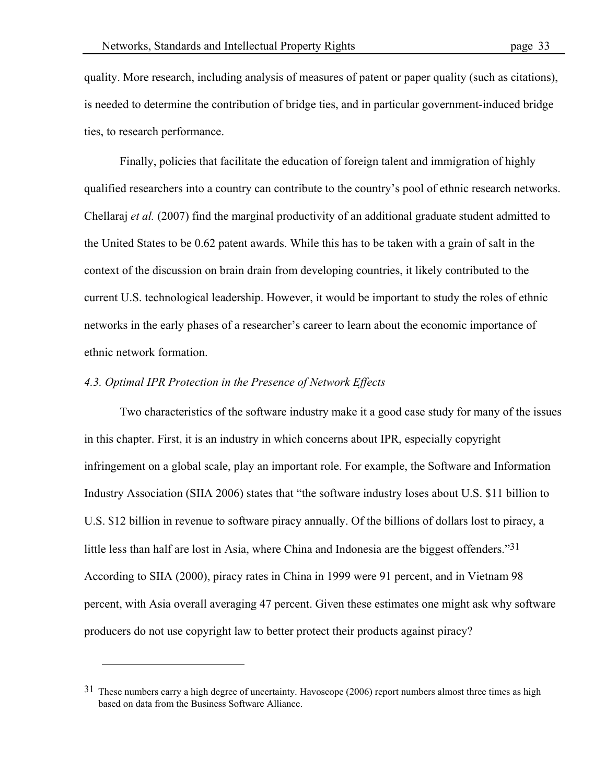quality. More research, including analysis of measures of patent or paper quality (such as citations), is needed to determine the contribution of bridge ties, and in particular government-induced bridge ties, to research performance.

Finally, policies that facilitate the education of foreign talent and immigration of highly qualified researchers into a country can contribute to the country's pool of ethnic research networks. Chellaraj *et al.* (2007) find the marginal productivity of an additional graduate student admitted to the United States to be 0.62 patent awards. While this has to be taken with a grain of salt in the context of the discussion on brain drain from developing countries, it likely contributed to the current U.S. technological leadership. However, it would be important to study the roles of ethnic networks in the early phases of a researcher's career to learn about the economic importance of ethnic network formation.

## *4.3. Optimal IPR Protection in the Presence of Network Effects*

1

Two characteristics of the software industry make it a good case study for many of the issues in this chapter. First, it is an industry in which concerns about IPR, especially copyright infringement on a global scale, play an important role. For example, the Software and Information Industry Association (SIIA 2006) states that "the software industry loses about U.S. \$11 billion to U.S. \$12 billion in revenue to software piracy annually. Of the billions of dollars lost to piracy, a little less than half are lost in Asia, where China and Indonesia are the biggest offenders."31 According to SIIA (2000), piracy rates in China in 1999 were 91 percent, and in Vietnam 98 percent, with Asia overall averaging 47 percent. Given these estimates one might ask why software producers do not use copyright law to better protect their products against piracy?

<sup>&</sup>lt;sup>31</sup> These numbers carry a high degree of uncertainty. Havoscope (2006) report numbers almost three times as high based on data from the Business Software Alliance.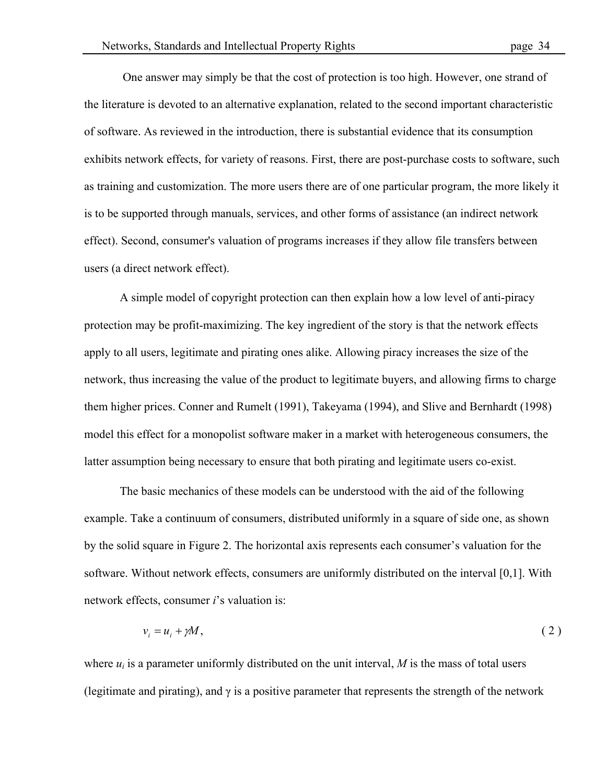One answer may simply be that the cost of protection is too high. However, one strand of the literature is devoted to an alternative explanation, related to the second important characteristic of software. As reviewed in the introduction, there is substantial evidence that its consumption exhibits network effects, for variety of reasons. First, there are post-purchase costs to software, such as training and customization. The more users there are of one particular program, the more likely it is to be supported through manuals, services, and other forms of assistance (an indirect network effect). Second, consumer's valuation of programs increases if they allow file transfers between users (a direct network effect).

A simple model of copyright protection can then explain how a low level of anti-piracy protection may be profit-maximizing. The key ingredient of the story is that the network effects apply to all users, legitimate and pirating ones alike. Allowing piracy increases the size of the network, thus increasing the value of the product to legitimate buyers, and allowing firms to charge them higher prices. Conner and Rumelt (1991), Takeyama (1994), and Slive and Bernhardt (1998) model this effect for a monopolist software maker in a market with heterogeneous consumers, the latter assumption being necessary to ensure that both pirating and legitimate users co-exist.

The basic mechanics of these models can be understood with the aid of the following example. Take a continuum of consumers, distributed uniformly in a square of side one, as shown by the solid square in Figure 2. The horizontal axis represents each consumer's valuation for the software. Without network effects, consumers are uniformly distributed on the interval [0,1]. With network effects, consumer *i*'s valuation is:

$$
v_i = u_i + \gamma M, \tag{2}
$$

where  $u_i$  is a parameter uniformly distributed on the unit interval,  $M$  is the mass of total users (legitimate and pirating), and  $\gamma$  is a positive parameter that represents the strength of the network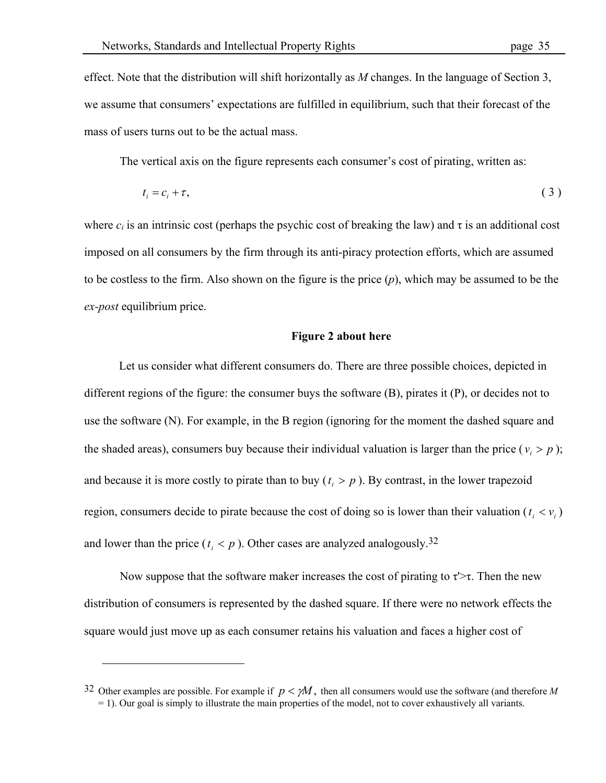effect. Note that the distribution will shift horizontally as *M* changes. In the language of Section 3, we assume that consumers' expectations are fulfilled in equilibrium, such that their forecast of the mass of users turns out to be the actual mass.

The vertical axis on the figure represents each consumer's cost of pirating, written as:

$$
t_i = c_i + \tau,\tag{3}
$$

where  $c_i$  is an intrinsic cost (perhaps the psychic cost of breaking the law) and  $\tau$  is an additional cost imposed on all consumers by the firm through its anti-piracy protection efforts, which are assumed to be costless to the firm. Also shown on the figure is the price (*p*), which may be assumed to be the *ex-post* equilibrium price.

## **Figure 2 about here**

Let us consider what different consumers do. There are three possible choices, depicted in different regions of the figure: the consumer buys the software (B), pirates it (P), or decides not to use the software (N). For example, in the B region (ignoring for the moment the dashed square and the shaded areas), consumers buy because their individual valuation is larger than the price ( $v_i > p$ ); and because it is more costly to pirate than to buy  $(t_i > p)$ . By contrast, in the lower trapezoid region, consumers decide to pirate because the cost of doing so is lower than their valuation ( $t_i < v_i$ ) and lower than the price ( $t_i < p$ ). Other cases are analyzed analogously.<sup>32</sup>

Now suppose that the software maker increases the cost of pirating to  $\tau$   $\geq$   $\tau$ . Then the new distribution of consumers is represented by the dashed square. If there were no network effects the square would just move up as each consumer retains his valuation and faces a higher cost of

<sup>&</sup>lt;sup>32</sup> Other examples are possible. For example if  $p < \gamma M$ , then all consumers would use the software (and therefore M = 1). Our goal is simply to illustrate the main properties of the model, not to cover exhaustively all variants.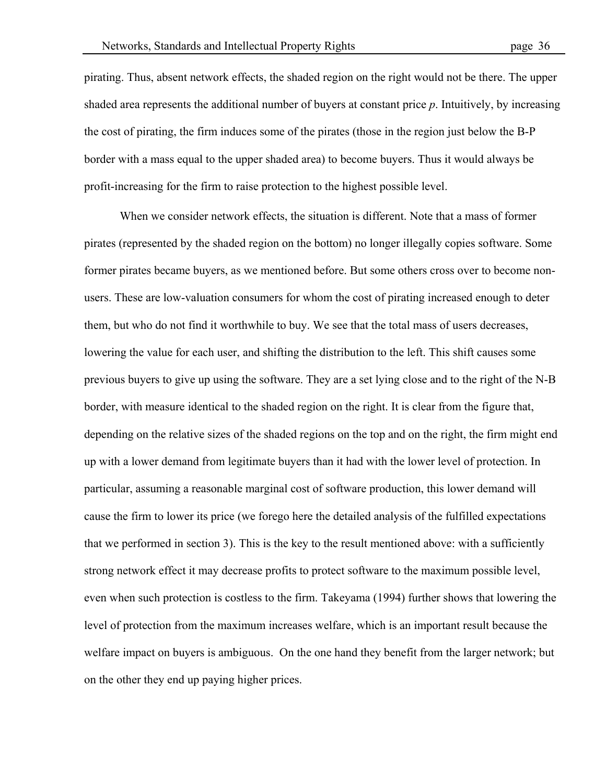pirating. Thus, absent network effects, the shaded region on the right would not be there. The upper shaded area represents the additional number of buyers at constant price *p*. Intuitively, by increasing the cost of pirating, the firm induces some of the pirates (those in the region just below the B-P border with a mass equal to the upper shaded area) to become buyers. Thus it would always be profit-increasing for the firm to raise protection to the highest possible level.

When we consider network effects, the situation is different. Note that a mass of former pirates (represented by the shaded region on the bottom) no longer illegally copies software. Some former pirates became buyers, as we mentioned before. But some others cross over to become nonusers. These are low-valuation consumers for whom the cost of pirating increased enough to deter them, but who do not find it worthwhile to buy. We see that the total mass of users decreases, lowering the value for each user, and shifting the distribution to the left. This shift causes some previous buyers to give up using the software. They are a set lying close and to the right of the N-B border, with measure identical to the shaded region on the right. It is clear from the figure that, depending on the relative sizes of the shaded regions on the top and on the right, the firm might end up with a lower demand from legitimate buyers than it had with the lower level of protection. In particular, assuming a reasonable marginal cost of software production, this lower demand will cause the firm to lower its price (we forego here the detailed analysis of the fulfilled expectations that we performed in section 3). This is the key to the result mentioned above: with a sufficiently strong network effect it may decrease profits to protect software to the maximum possible level, even when such protection is costless to the firm. Takeyama (1994) further shows that lowering the level of protection from the maximum increases welfare, which is an important result because the welfare impact on buyers is ambiguous. On the one hand they benefit from the larger network; but on the other they end up paying higher prices.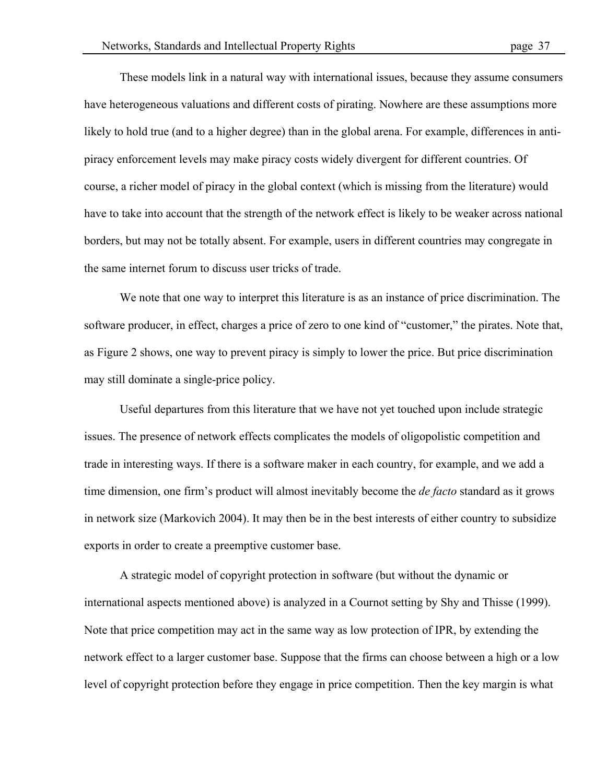These models link in a natural way with international issues, because they assume consumers have heterogeneous valuations and different costs of pirating. Nowhere are these assumptions more likely to hold true (and to a higher degree) than in the global arena. For example, differences in antipiracy enforcement levels may make piracy costs widely divergent for different countries. Of course, a richer model of piracy in the global context (which is missing from the literature) would have to take into account that the strength of the network effect is likely to be weaker across national borders, but may not be totally absent. For example, users in different countries may congregate in the same internet forum to discuss user tricks of trade.

We note that one way to interpret this literature is as an instance of price discrimination. The software producer, in effect, charges a price of zero to one kind of "customer," the pirates. Note that, as Figure 2 shows, one way to prevent piracy is simply to lower the price. But price discrimination may still dominate a single-price policy.

Useful departures from this literature that we have not yet touched upon include strategic issues. The presence of network effects complicates the models of oligopolistic competition and trade in interesting ways. If there is a software maker in each country, for example, and we add a time dimension, one firm's product will almost inevitably become the *de facto* standard as it grows in network size (Markovich 2004). It may then be in the best interests of either country to subsidize exports in order to create a preemptive customer base.

A strategic model of copyright protection in software (but without the dynamic or international aspects mentioned above) is analyzed in a Cournot setting by Shy and Thisse (1999). Note that price competition may act in the same way as low protection of IPR, by extending the network effect to a larger customer base. Suppose that the firms can choose between a high or a low level of copyright protection before they engage in price competition. Then the key margin is what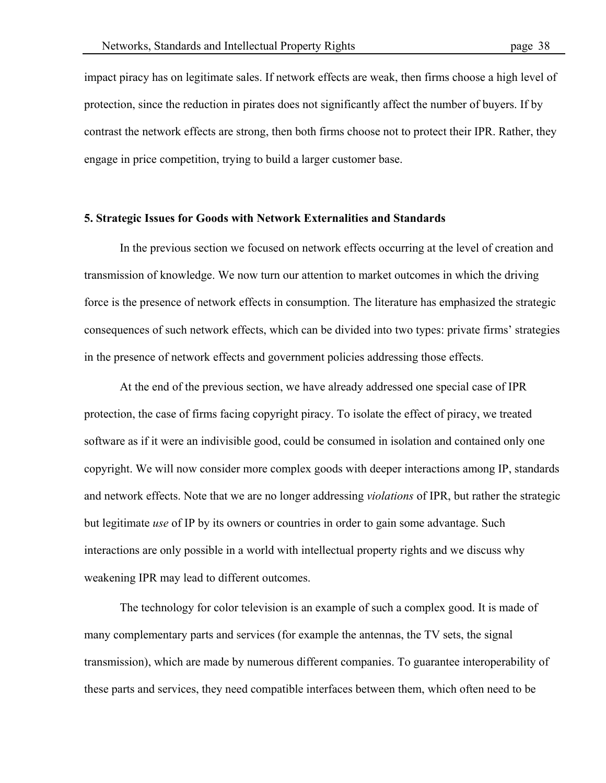impact piracy has on legitimate sales. If network effects are weak, then firms choose a high level of protection, since the reduction in pirates does not significantly affect the number of buyers. If by contrast the network effects are strong, then both firms choose not to protect their IPR. Rather, they engage in price competition, trying to build a larger customer base.

#### **5. Strategic Issues for Goods with Network Externalities and Standards**

In the previous section we focused on network effects occurring at the level of creation and transmission of knowledge. We now turn our attention to market outcomes in which the driving force is the presence of network effects in consumption. The literature has emphasized the strategic consequences of such network effects, which can be divided into two types: private firms' strategies in the presence of network effects and government policies addressing those effects.

At the end of the previous section, we have already addressed one special case of IPR protection, the case of firms facing copyright piracy. To isolate the effect of piracy, we treated software as if it were an indivisible good, could be consumed in isolation and contained only one copyright. We will now consider more complex goods with deeper interactions among IP, standards and network effects. Note that we are no longer addressing *violations* of IPR, but rather the strategic but legitimate *use* of IP by its owners or countries in order to gain some advantage. Such interactions are only possible in a world with intellectual property rights and we discuss why weakening IPR may lead to different outcomes.

The technology for color television is an example of such a complex good. It is made of many complementary parts and services (for example the antennas, the TV sets, the signal transmission), which are made by numerous different companies. To guarantee interoperability of these parts and services, they need compatible interfaces between them, which often need to be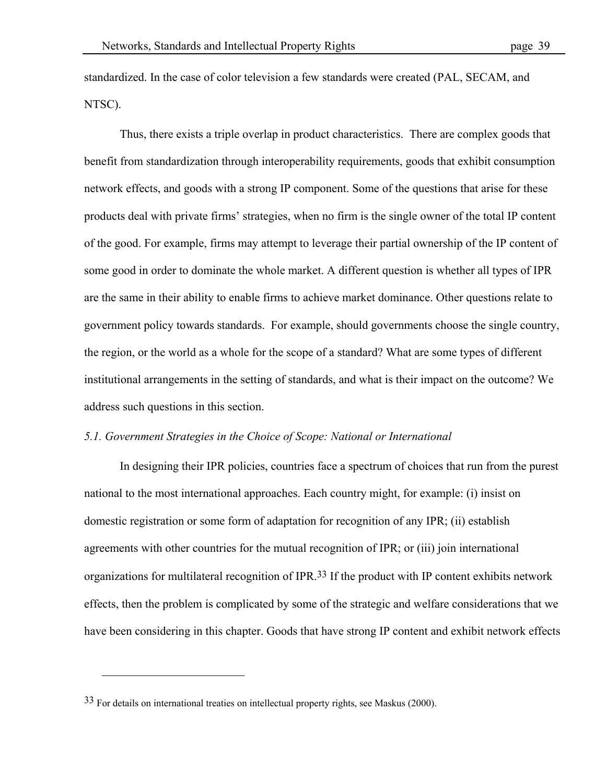standardized. In the case of color television a few standards were created (PAL, SECAM, and NTSC).

Thus, there exists a triple overlap in product characteristics. There are complex goods that benefit from standardization through interoperability requirements, goods that exhibit consumption network effects, and goods with a strong IP component. Some of the questions that arise for these products deal with private firms' strategies, when no firm is the single owner of the total IP content of the good. For example, firms may attempt to leverage their partial ownership of the IP content of some good in order to dominate the whole market. A different question is whether all types of IPR are the same in their ability to enable firms to achieve market dominance. Other questions relate to government policy towards standards. For example, should governments choose the single country, the region, or the world as a whole for the scope of a standard? What are some types of different institutional arrangements in the setting of standards, and what is their impact on the outcome? We address such questions in this section.

## *5.1. Government Strategies in the Choice of Scope: National or International*

In designing their IPR policies, countries face a spectrum of choices that run from the purest national to the most international approaches. Each country might, for example: (i) insist on domestic registration or some form of adaptation for recognition of any IPR; (ii) establish agreements with other countries for the mutual recognition of IPR; or (iii) join international organizations for multilateral recognition of IPR.33 If the product with IP content exhibits network effects, then the problem is complicated by some of the strategic and welfare considerations that we have been considering in this chapter. Goods that have strong IP content and exhibit network effects

<sup>33</sup> For details on international treaties on intellectual property rights, see Maskus (2000).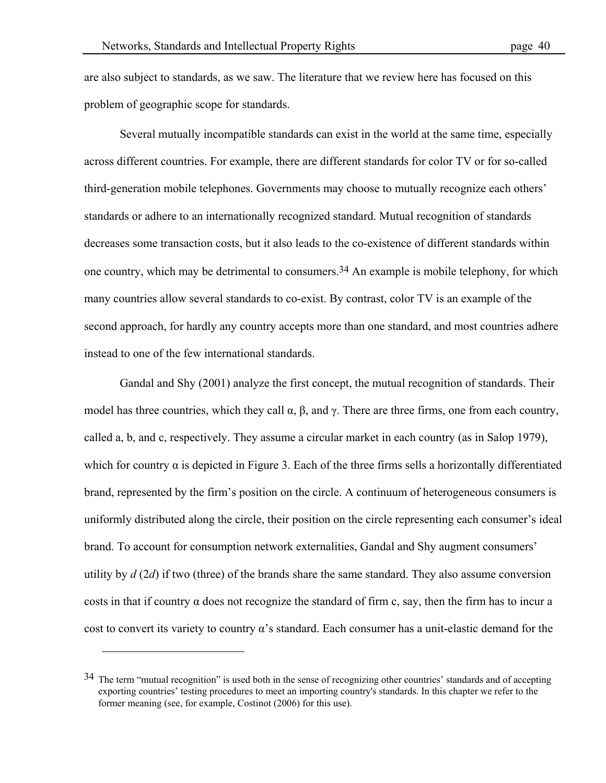are also subject to standards, as we saw. The literature that we review here has focused on this problem of geographic scope for standards.

Several mutually incompatible standards can exist in the world at the same time, especially across different countries. For example, there are different standards for color TV or for so-called third-generation mobile telephones. Governments may choose to mutually recognize each others' standards or adhere to an internationally recognized standard. Mutual recognition of standards decreases some transaction costs, but it also leads to the co-existence of different standards within one country, which may be detrimental to consumers.34 An example is mobile telephony, for which many countries allow several standards to co-exist. By contrast, color TV is an example of the second approach, for hardly any country accepts more than one standard, and most countries adhere instead to one of the few international standards.

Gandal and Shy (2001) analyze the first concept, the mutual recognition of standards. Their model has three countries, which they call  $\alpha$ ,  $\beta$ , and γ. There are three firms, one from each country, called a, b, and c, respectively. They assume a circular market in each country (as in Salop 1979), which for country  $\alpha$  is depicted in Figure 3. Each of the three firms sells a horizontally differentiated brand, represented by the firm's position on the circle. A continuum of heterogeneous consumers is uniformly distributed along the circle, their position on the circle representing each consumer's ideal brand. To account for consumption network externalities, Gandal and Shy augment consumers' utility by *d* (2*d*) if two (three) of the brands share the same standard. They also assume conversion costs in that if country  $\alpha$  does not recognize the standard of firm c, say, then the firm has to incur a cost to convert its variety to country  $\alpha$ 's standard. Each consumer has a unit-elastic demand for the

<sup>&</sup>lt;sup>34</sup> The term "mutual recognition" is used both in the sense of recognizing other countries' standards and of accepting exporting countries' testing procedures to meet an importing country's standards. In this chapter we refer to the former meaning (see, for example, Costinot (2006) for this use).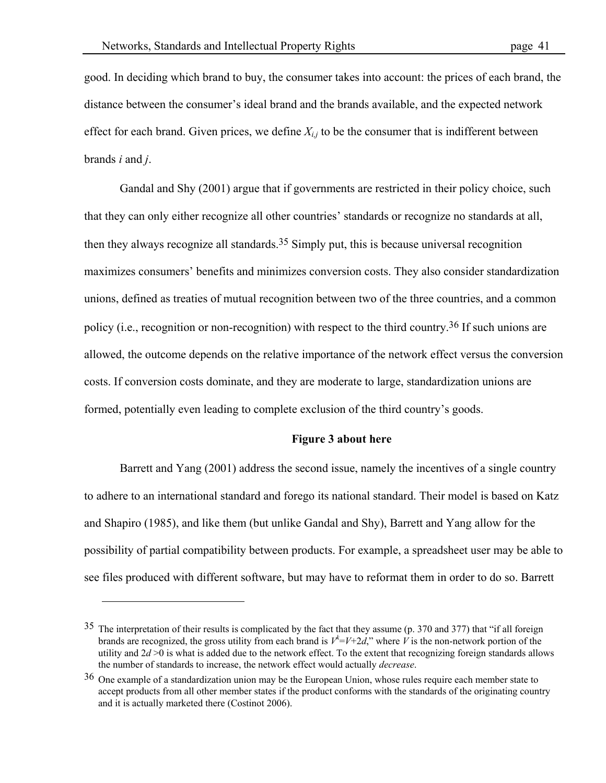good. In deciding which brand to buy, the consumer takes into account: the prices of each brand, the distance between the consumer's ideal brand and the brands available, and the expected network effect for each brand. Given prices, we define  $X_{i,j}$  to be the consumer that is indifferent between brands *i* and *j*.

Gandal and Shy (2001) argue that if governments are restricted in their policy choice, such that they can only either recognize all other countries' standards or recognize no standards at all, then they always recognize all standards.<sup>35</sup> Simply put, this is because universal recognition maximizes consumers' benefits and minimizes conversion costs. They also consider standardization unions, defined as treaties of mutual recognition between two of the three countries, and a common policy (i.e., recognition or non-recognition) with respect to the third country.36 If such unions are allowed, the outcome depends on the relative importance of the network effect versus the conversion costs. If conversion costs dominate, and they are moderate to large, standardization unions are formed, potentially even leading to complete exclusion of the third country's goods.

## **Figure 3 about here**

Barrett and Yang (2001) address the second issue, namely the incentives of a single country to adhere to an international standard and forego its national standard. Their model is based on Katz and Shapiro (1985), and like them (but unlike Gandal and Shy), Barrett and Yang allow for the possibility of partial compatibility between products. For example, a spreadsheet user may be able to see files produced with different software, but may have to reformat them in order to do so. Barrett

<sup>35</sup> The interpretation of their results is complicated by the fact that they assume (p. 370 and 377) that "if all foreign brands are recognized, the gross utility from each brand is  $V^* = V + 2d$ ," where *V* is the non-network portion of the utility and  $2d > 0$  is what is added due to the network effect. To the extent that recognizing foreign standards allows the number of standards to increase, the network effect would actually *decrease*.

<sup>36</sup> One example of a standardization union may be the European Union, whose rules require each member state to accept products from all other member states if the product conforms with the standards of the originating country and it is actually marketed there (Costinot 2006).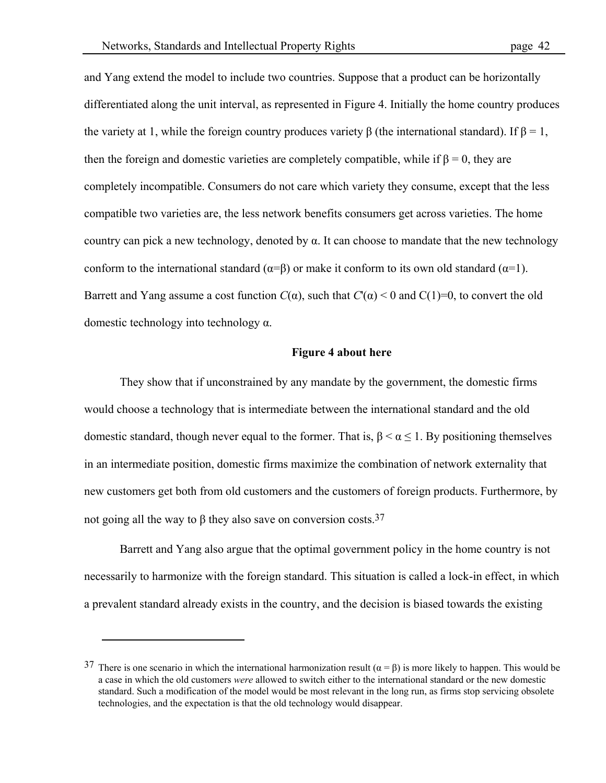and Yang extend the model to include two countries. Suppose that a product can be horizontally differentiated along the unit interval, as represented in Figure 4. Initially the home country produces the variety at 1, while the foreign country produces variety  $\beta$  (the international standard). If  $\beta = 1$ , then the foreign and domestic varieties are completely compatible, while if  $\beta = 0$ , they are completely incompatible. Consumers do not care which variety they consume, except that the less compatible two varieties are, the less network benefits consumers get across varieties. The home country can pick a new technology, denoted by  $\alpha$ . It can choose to mandate that the new technology conform to the international standard ( $\alpha = \beta$ ) or make it conform to its own old standard ( $\alpha = 1$ ). Barrett and Yang assume a cost function  $C(\alpha)$ , such that  $C(\alpha) < 0$  and  $C(1)=0$ , to convert the old domestic technology into technology α.

#### **Figure 4 about here**

They show that if unconstrained by any mandate by the government, the domestic firms would choose a technology that is intermediate between the international standard and the old domestic standard, though never equal to the former. That is,  $\beta \le \alpha \le 1$ . By positioning themselves in an intermediate position, domestic firms maximize the combination of network externality that new customers get both from old customers and the customers of foreign products. Furthermore, by not going all the way to β they also save on conversion costs.<sup>37</sup>

Barrett and Yang also argue that the optimal government policy in the home country is not necessarily to harmonize with the foreign standard. This situation is called a lock-in effect, in which a prevalent standard already exists in the country, and the decision is biased towards the existing

<sup>37</sup> There is one scenario in which the international harmonization result ( $\alpha = \beta$ ) is more likely to happen. This would be a case in which the old customers *were* allowed to switch either to the international standard or the new domestic standard. Such a modification of the model would be most relevant in the long run, as firms stop servicing obsolete technologies, and the expectation is that the old technology would disappear.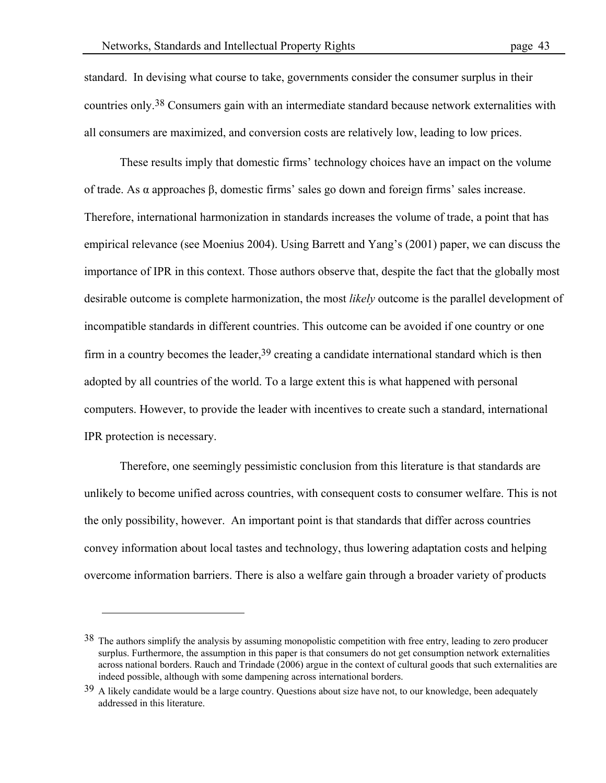standard. In devising what course to take, governments consider the consumer surplus in their countries only.38 Consumers gain with an intermediate standard because network externalities with all consumers are maximized, and conversion costs are relatively low, leading to low prices.

These results imply that domestic firms' technology choices have an impact on the volume of trade. As α approaches β, domestic firms' sales go down and foreign firms' sales increase. Therefore, international harmonization in standards increases the volume of trade, a point that has empirical relevance (see Moenius 2004). Using Barrett and Yang's (2001) paper, we can discuss the importance of IPR in this context. Those authors observe that, despite the fact that the globally most desirable outcome is complete harmonization, the most *likely* outcome is the parallel development of incompatible standards in different countries. This outcome can be avoided if one country or one firm in a country becomes the leader,  $39$  creating a candidate international standard which is then adopted by all countries of the world. To a large extent this is what happened with personal computers. However, to provide the leader with incentives to create such a standard, international IPR protection is necessary.

Therefore, one seemingly pessimistic conclusion from this literature is that standards are unlikely to become unified across countries, with consequent costs to consumer welfare. This is not the only possibility, however. An important point is that standards that differ across countries convey information about local tastes and technology, thus lowering adaptation costs and helping overcome information barriers. There is also a welfare gain through a broader variety of products

 $38$  The authors simplify the analysis by assuming monopolistic competition with free entry, leading to zero producer surplus. Furthermore, the assumption in this paper is that consumers do not get consumption network externalities across national borders. Rauch and Trindade (2006) argue in the context of cultural goods that such externalities are indeed possible, although with some dampening across international borders.

 $39$  A likely candidate would be a large country. Questions about size have not, to our knowledge, been adequately addressed in this literature.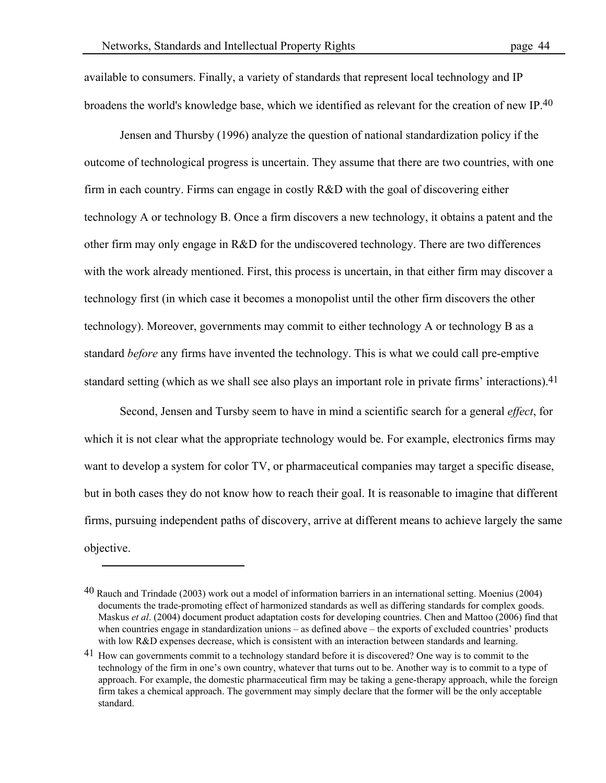available to consumers. Finally, a variety of standards that represent local technology and IP broadens the world's knowledge base, which we identified as relevant for the creation of new IP.40

Jensen and Thursby (1996) analyze the question of national standardization policy if the outcome of technological progress is uncertain. They assume that there are two countries, with one firm in each country. Firms can engage in costly R&D with the goal of discovering either technology A or technology B. Once a firm discovers a new technology, it obtains a patent and the other firm may only engage in R&D for the undiscovered technology. There are two differences with the work already mentioned. First, this process is uncertain, in that either firm may discover a technology first (in which case it becomes a monopolist until the other firm discovers the other technology). Moreover, governments may commit to either technology A or technology B as a standard *before* any firms have invented the technology. This is what we could call pre-emptive standard setting (which as we shall see also plays an important role in private firms' interactions).<sup>41</sup>

Second, Jensen and Tursby seem to have in mind a scientific search for a general *effect*, for which it is not clear what the appropriate technology would be. For example, electronics firms may want to develop a system for color TV, or pharmaceutical companies may target a specific disease, but in both cases they do not know how to reach their goal. It is reasonable to imagine that different firms, pursuing independent paths of discovery, arrive at different means to achieve largely the same objective.

<sup>40</sup> Rauch and Trindade (2003) work out a model of information barriers in an international setting. Moenius (2004) documents the trade-promoting effect of harmonized standards as well as differing standards for complex goods. Maskus *et al*. (2004) document product adaptation costs for developing countries. Chen and Mattoo (2006) find that when countries engage in standardization unions – as defined above – the exports of excluded countries' products with low R&D expenses decrease, which is consistent with an interaction between standards and learning.

<sup>41</sup> How can governments commit to a technology standard before it is discovered? One way is to commit to the technology of the firm in one's own country, whatever that turns out to be. Another way is to commit to a type of approach. For example, the domestic pharmaceutical firm may be taking a gene-therapy approach, while the foreign firm takes a chemical approach. The government may simply declare that the former will be the only acceptable standard.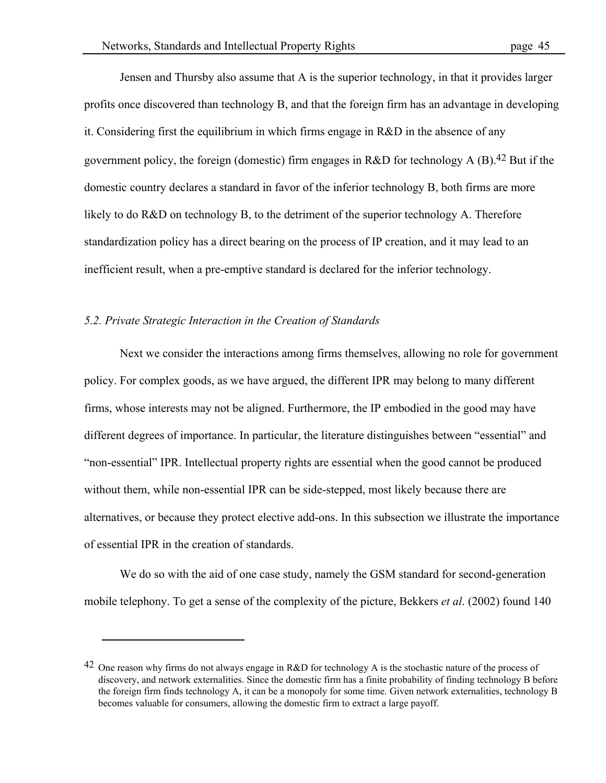Jensen and Thursby also assume that A is the superior technology, in that it provides larger profits once discovered than technology B, and that the foreign firm has an advantage in developing it. Considering first the equilibrium in which firms engage in R&D in the absence of any government policy, the foreign (domestic) firm engages in R&D for technology  $A(B)$ .<sup>42</sup> But if the domestic country declares a standard in favor of the inferior technology B, both firms are more likely to do R&D on technology B, to the detriment of the superior technology A. Therefore standardization policy has a direct bearing on the process of IP creation, and it may lead to an inefficient result, when a pre-emptive standard is declared for the inferior technology.

## *5.2. Private Strategic Interaction in the Creation of Standards*

<u>.</u>

Next we consider the interactions among firms themselves, allowing no role for government policy. For complex goods, as we have argued, the different IPR may belong to many different firms, whose interests may not be aligned. Furthermore, the IP embodied in the good may have different degrees of importance. In particular, the literature distinguishes between "essential" and "non-essential" IPR. Intellectual property rights are essential when the good cannot be produced without them, while non-essential IPR can be side-stepped, most likely because there are alternatives, or because they protect elective add-ons. In this subsection we illustrate the importance of essential IPR in the creation of standards.

We do so with the aid of one case study, namely the GSM standard for second-generation mobile telephony. To get a sense of the complexity of the picture, Bekkers *et al*. (2002) found 140

<sup>42</sup> One reason why firms do not always engage in R&D for technology A is the stochastic nature of the process of discovery, and network externalities. Since the domestic firm has a finite probability of finding technology B before the foreign firm finds technology A, it can be a monopoly for some time. Given network externalities, technology B becomes valuable for consumers, allowing the domestic firm to extract a large payoff.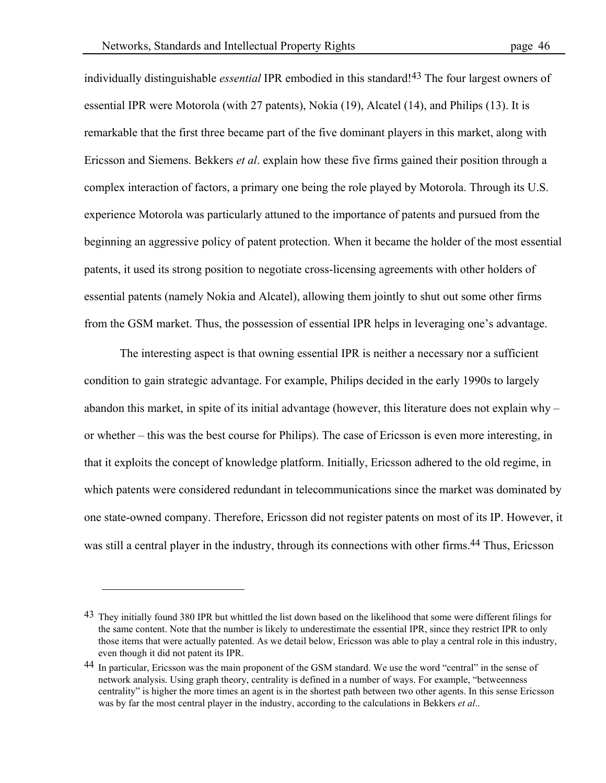individually distinguishable *essential* IPR embodied in this standard!<sup>43</sup> The four largest owners of essential IPR were Motorola (with 27 patents), Nokia (19), Alcatel (14), and Philips (13). It is remarkable that the first three became part of the five dominant players in this market, along with Ericsson and Siemens. Bekkers *et al*. explain how these five firms gained their position through a complex interaction of factors, a primary one being the role played by Motorola. Through its U.S. experience Motorola was particularly attuned to the importance of patents and pursued from the beginning an aggressive policy of patent protection. When it became the holder of the most essential patents, it used its strong position to negotiate cross-licensing agreements with other holders of essential patents (namely Nokia and Alcatel), allowing them jointly to shut out some other firms from the GSM market. Thus, the possession of essential IPR helps in leveraging one's advantage.

The interesting aspect is that owning essential IPR is neither a necessary nor a sufficient condition to gain strategic advantage. For example, Philips decided in the early 1990s to largely abandon this market, in spite of its initial advantage (however, this literature does not explain why – or whether – this was the best course for Philips). The case of Ericsson is even more interesting, in that it exploits the concept of knowledge platform. Initially, Ericsson adhered to the old regime, in which patents were considered redundant in telecommunications since the market was dominated by one state-owned company. Therefore, Ericsson did not register patents on most of its IP. However, it was still a central player in the industry, through its connections with other firms.<sup>44</sup> Thus, Ericsson

<sup>&</sup>lt;sup>43</sup> They initially found 380 IPR but whittled the list down based on the likelihood that some were different filings for the same content. Note that the number is likely to underestimate the essential IPR, since they restrict IPR to only those items that were actually patented. As we detail below, Ericsson was able to play a central role in this industry, even though it did not patent its IPR.

<sup>44</sup> In particular, Ericsson was the main proponent of the GSM standard. We use the word "central" in the sense of network analysis. Using graph theory, centrality is defined in a number of ways. For example, "betweenness centrality" is higher the more times an agent is in the shortest path between two other agents. In this sense Ericsson was by far the most central player in the industry, according to the calculations in Bekkers *et al*..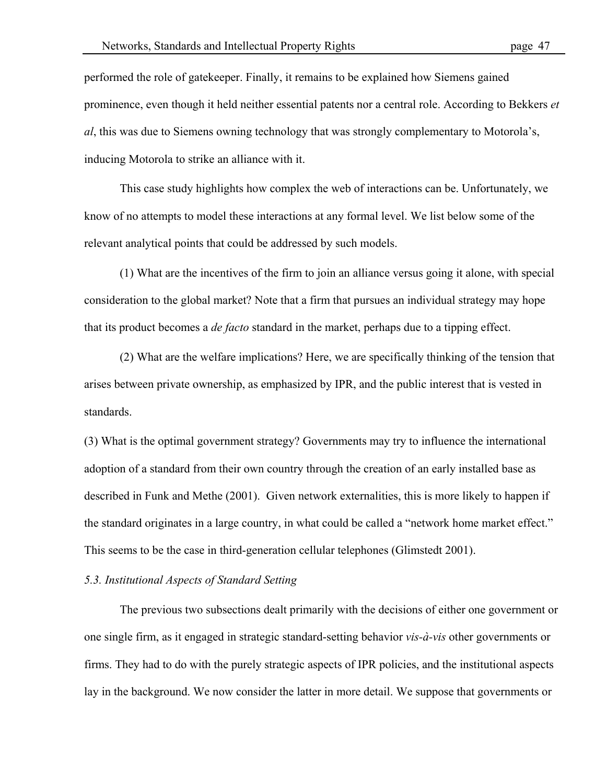performed the role of gatekeeper. Finally, it remains to be explained how Siemens gained prominence, even though it held neither essential patents nor a central role. According to Bekkers *et al*, this was due to Siemens owning technology that was strongly complementary to Motorola's, inducing Motorola to strike an alliance with it.

This case study highlights how complex the web of interactions can be. Unfortunately, we know of no attempts to model these interactions at any formal level. We list below some of the relevant analytical points that could be addressed by such models.

(1) What are the incentives of the firm to join an alliance versus going it alone, with special consideration to the global market? Note that a firm that pursues an individual strategy may hope that its product becomes a *de facto* standard in the market, perhaps due to a tipping effect.

(2) What are the welfare implications? Here, we are specifically thinking of the tension that arises between private ownership, as emphasized by IPR, and the public interest that is vested in standards.

(3) What is the optimal government strategy? Governments may try to influence the international adoption of a standard from their own country through the creation of an early installed base as described in Funk and Methe (2001). Given network externalities, this is more likely to happen if the standard originates in a large country, in what could be called a "network home market effect." This seems to be the case in third-generation cellular telephones (Glimstedt 2001).

## *5.3. Institutional Aspects of Standard Setting*

The previous two subsections dealt primarily with the decisions of either one government or one single firm, as it engaged in strategic standard-setting behavior *vis-à-vis* other governments or firms. They had to do with the purely strategic aspects of IPR policies, and the institutional aspects lay in the background. We now consider the latter in more detail. We suppose that governments or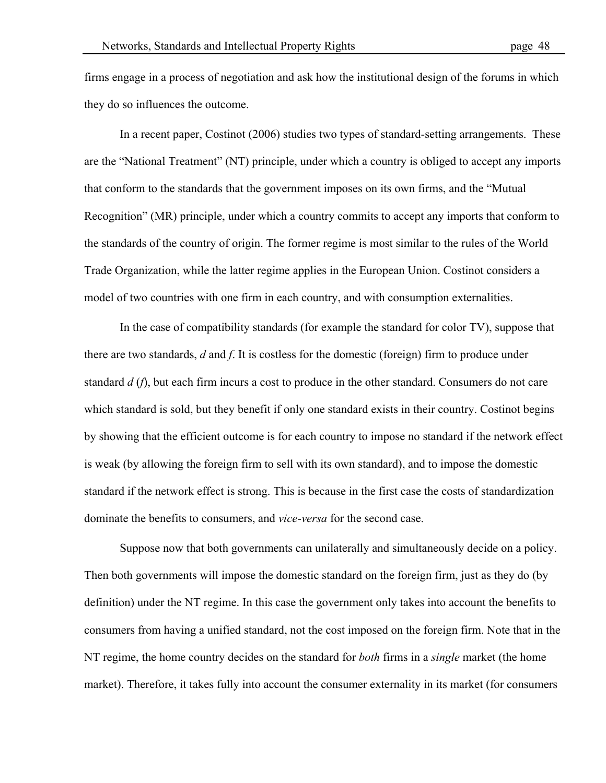firms engage in a process of negotiation and ask how the institutional design of the forums in which they do so influences the outcome.

In a recent paper, Costinot (2006) studies two types of standard-setting arrangements. These are the "National Treatment" (NT) principle, under which a country is obliged to accept any imports that conform to the standards that the government imposes on its own firms, and the "Mutual Recognition" (MR) principle, under which a country commits to accept any imports that conform to the standards of the country of origin. The former regime is most similar to the rules of the World Trade Organization, while the latter regime applies in the European Union. Costinot considers a model of two countries with one firm in each country, and with consumption externalities.

In the case of compatibility standards (for example the standard for color TV), suppose that there are two standards, *d* and *f*. It is costless for the domestic (foreign) firm to produce under standard *d* (*f*), but each firm incurs a cost to produce in the other standard. Consumers do not care which standard is sold, but they benefit if only one standard exists in their country. Costinot begins by showing that the efficient outcome is for each country to impose no standard if the network effect is weak (by allowing the foreign firm to sell with its own standard), and to impose the domestic standard if the network effect is strong. This is because in the first case the costs of standardization dominate the benefits to consumers, and *vice-versa* for the second case.

Suppose now that both governments can unilaterally and simultaneously decide on a policy. Then both governments will impose the domestic standard on the foreign firm, just as they do (by definition) under the NT regime. In this case the government only takes into account the benefits to consumers from having a unified standard, not the cost imposed on the foreign firm. Note that in the NT regime, the home country decides on the standard for *both* firms in a *single* market (the home market). Therefore, it takes fully into account the consumer externality in its market (for consumers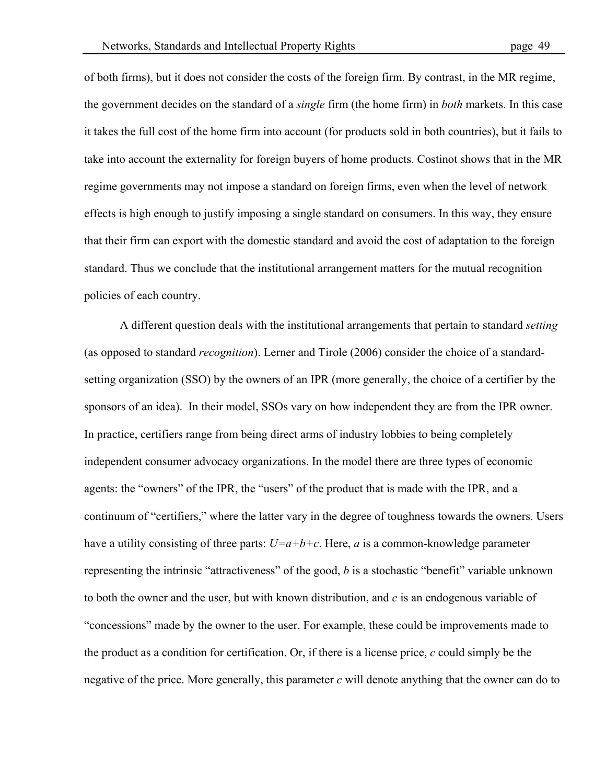of both firms), but it does not consider the costs of the foreign firm. By contrast, in the MR regime, the government decides on the standard of a *single* firm (the home firm) in *both* markets. In this case it takes the full cost of the home firm into account (for products sold in both countries), but it fails to take into account the externality for foreign buyers of home products. Costinot shows that in the MR regime governments may not impose a standard on foreign firms, even when the level of network effects is high enough to justify imposing a single standard on consumers. In this way, they ensure that their firm can export with the domestic standard and avoid the cost of adaptation to the foreign standard. Thus we conclude that the institutional arrangement matters for the mutual recognition policies of each country.

A different question deals with the institutional arrangements that pertain to standard *setting* (as opposed to standard *recognition*). Lerner and Tirole (2006) consider the choice of a standardsetting organization (SSO) by the owners of an IPR (more generally, the choice of a certifier by the sponsors of an idea). In their model, SSOs vary on how independent they are from the IPR owner. In practice, certifiers range from being direct arms of industry lobbies to being completely independent consumer advocacy organizations. In the model there are three types of economic agents: the "owners" of the IPR, the "users" of the product that is made with the IPR, and a continuum of "certifiers," where the latter vary in the degree of toughness towards the owners. Users have a utility consisting of three parts:  $U=a+b+c$ . Here, *a* is a common-knowledge parameter representing the intrinsic "attractiveness" of the good, *b* is a stochastic "benefit" variable unknown to both the owner and the user, but with known distribution, and *c* is an endogenous variable of "concessions" made by the owner to the user. For example, these could be improvements made to the product as a condition for certification. Or, if there is a license price, *c* could simply be the negative of the price. More generally, this parameter *c* will denote anything that the owner can do to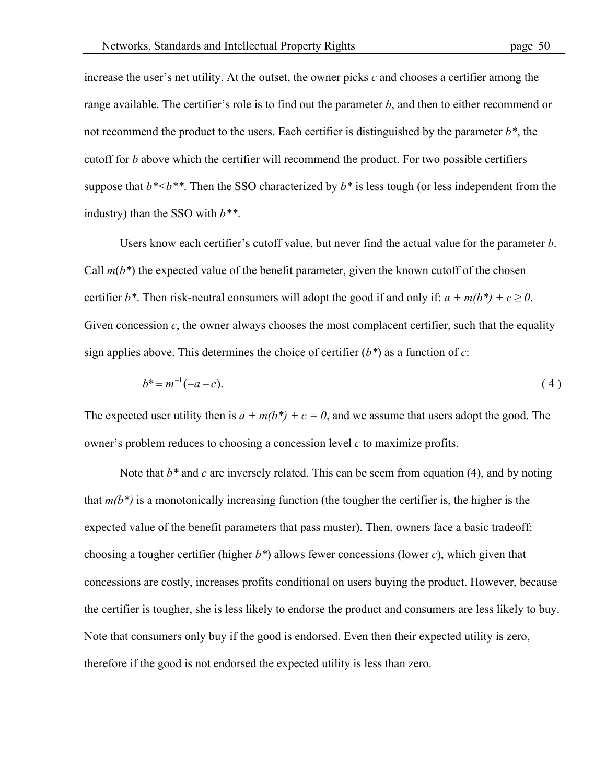increase the user's net utility. At the outset, the owner picks *c* and chooses a certifier among the range available. The certifier's role is to find out the parameter *b*, and then to either recommend or not recommend the product to the users. Each certifier is distinguished by the parameter *b\**, the cutoff for *b* above which the certifier will recommend the product. For two possible certifiers suppose that  $b^*$   $\leq b^*$ . Then the SSO characterized by  $b^*$  is less tough (or less independent from the industry) than the SSO with *b\*\**.

Users know each certifier's cutoff value, but never find the actual value for the parameter *b*. Call  $m(b^*)$  the expected value of the benefit parameter, given the known cutoff of the chosen certifier *b\**. Then risk-neutral consumers will adopt the good if and only if:  $a + m(b^*) + c \ge 0$ . Given concession  $c$ , the owner always chooses the most complacent certifier, such that the equality sign applies above. This determines the choice of certifier (*b\**) as a function of *c*:

$$
b^* = m^{-1}(-a - c). \tag{4}
$$

The expected user utility then is  $a + m(b^*) + c = 0$ , and we assume that users adopt the good. The owner's problem reduces to choosing a concession level *c* to maximize profits.

Note that *b\** and *c* are inversely related. This can be seem from equation (4), and by noting that  $m(b^*)$  is a monotonically increasing function (the tougher the certifier is, the higher is the expected value of the benefit parameters that pass muster). Then, owners face a basic tradeoff: choosing a tougher certifier (higher *b\**) allows fewer concessions (lower *c*), which given that concessions are costly, increases profits conditional on users buying the product. However, because the certifier is tougher, she is less likely to endorse the product and consumers are less likely to buy. Note that consumers only buy if the good is endorsed. Even then their expected utility is zero, therefore if the good is not endorsed the expected utility is less than zero.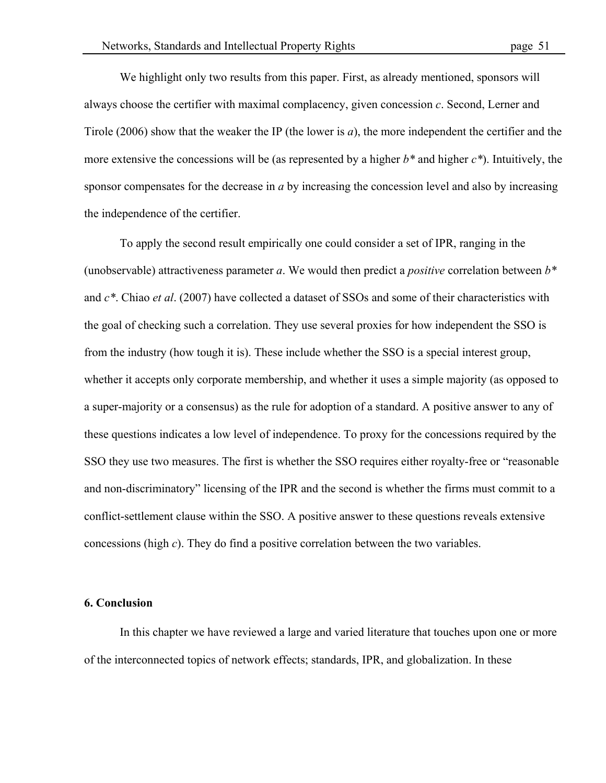We highlight only two results from this paper. First, as already mentioned, sponsors will always choose the certifier with maximal complacency, given concession *c*. Second, Lerner and Tirole (2006) show that the weaker the IP (the lower is *a*), the more independent the certifier and the more extensive the concessions will be (as represented by a higher *b\** and higher *c\**). Intuitively, the sponsor compensates for the decrease in *a* by increasing the concession level and also by increasing the independence of the certifier.

To apply the second result empirically one could consider a set of IPR, ranging in the (unobservable) attractiveness parameter *a*. We would then predict a *positive* correlation between *b\** and *c\**. Chiao *et al*. (2007) have collected a dataset of SSOs and some of their characteristics with the goal of checking such a correlation. They use several proxies for how independent the SSO is from the industry (how tough it is). These include whether the SSO is a special interest group, whether it accepts only corporate membership, and whether it uses a simple majority (as opposed to a super-majority or a consensus) as the rule for adoption of a standard. A positive answer to any of these questions indicates a low level of independence. To proxy for the concessions required by the SSO they use two measures. The first is whether the SSO requires either royalty-free or "reasonable and non-discriminatory" licensing of the IPR and the second is whether the firms must commit to a conflict-settlement clause within the SSO. A positive answer to these questions reveals extensive concessions (high *c*). They do find a positive correlation between the two variables.

## **6. Conclusion**

In this chapter we have reviewed a large and varied literature that touches upon one or more of the interconnected topics of network effects; standards, IPR, and globalization. In these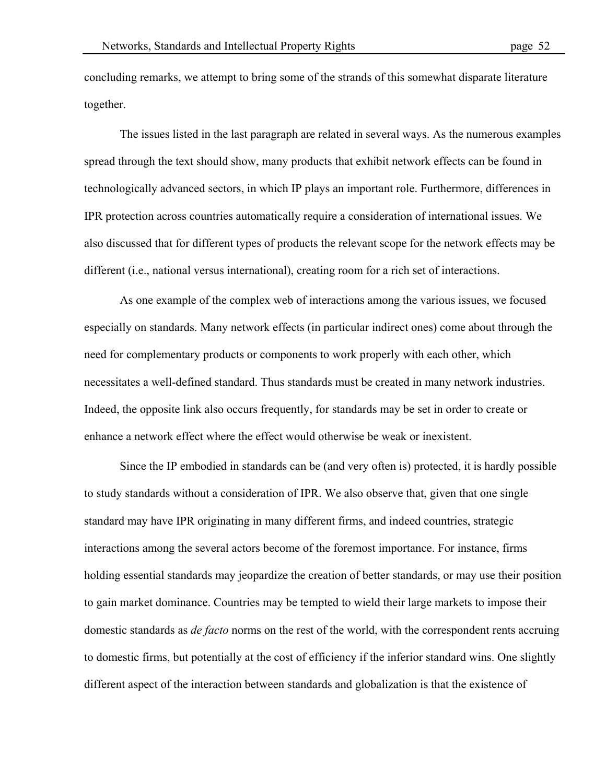concluding remarks, we attempt to bring some of the strands of this somewhat disparate literature together.

The issues listed in the last paragraph are related in several ways. As the numerous examples spread through the text should show, many products that exhibit network effects can be found in technologically advanced sectors, in which IP plays an important role. Furthermore, differences in IPR protection across countries automatically require a consideration of international issues. We also discussed that for different types of products the relevant scope for the network effects may be different (i.e., national versus international), creating room for a rich set of interactions.

As one example of the complex web of interactions among the various issues, we focused especially on standards. Many network effects (in particular indirect ones) come about through the need for complementary products or components to work properly with each other, which necessitates a well-defined standard. Thus standards must be created in many network industries. Indeed, the opposite link also occurs frequently, for standards may be set in order to create or enhance a network effect where the effect would otherwise be weak or inexistent.

Since the IP embodied in standards can be (and very often is) protected, it is hardly possible to study standards without a consideration of IPR. We also observe that, given that one single standard may have IPR originating in many different firms, and indeed countries, strategic interactions among the several actors become of the foremost importance. For instance, firms holding essential standards may jeopardize the creation of better standards, or may use their position to gain market dominance. Countries may be tempted to wield their large markets to impose their domestic standards as *de facto* norms on the rest of the world, with the correspondent rents accruing to domestic firms, but potentially at the cost of efficiency if the inferior standard wins. One slightly different aspect of the interaction between standards and globalization is that the existence of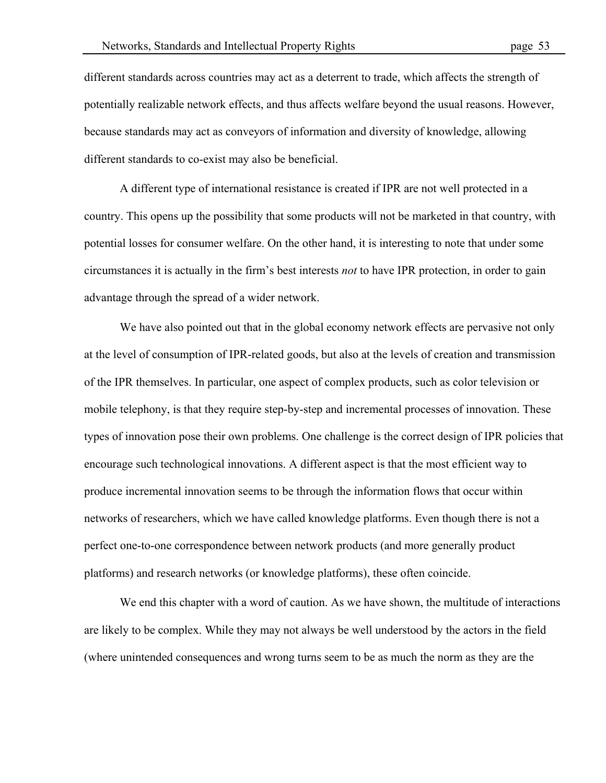different standards across countries may act as a deterrent to trade, which affects the strength of potentially realizable network effects, and thus affects welfare beyond the usual reasons. However, because standards may act as conveyors of information and diversity of knowledge, allowing different standards to co-exist may also be beneficial.

A different type of international resistance is created if IPR are not well protected in a country. This opens up the possibility that some products will not be marketed in that country, with potential losses for consumer welfare. On the other hand, it is interesting to note that under some circumstances it is actually in the firm's best interests *not* to have IPR protection, in order to gain advantage through the spread of a wider network.

We have also pointed out that in the global economy network effects are pervasive not only at the level of consumption of IPR-related goods, but also at the levels of creation and transmission of the IPR themselves. In particular, one aspect of complex products, such as color television or mobile telephony, is that they require step-by-step and incremental processes of innovation. These types of innovation pose their own problems. One challenge is the correct design of IPR policies that encourage such technological innovations. A different aspect is that the most efficient way to produce incremental innovation seems to be through the information flows that occur within networks of researchers, which we have called knowledge platforms. Even though there is not a perfect one-to-one correspondence between network products (and more generally product platforms) and research networks (or knowledge platforms), these often coincide.

We end this chapter with a word of caution. As we have shown, the multitude of interactions are likely to be complex. While they may not always be well understood by the actors in the field (where unintended consequences and wrong turns seem to be as much the norm as they are the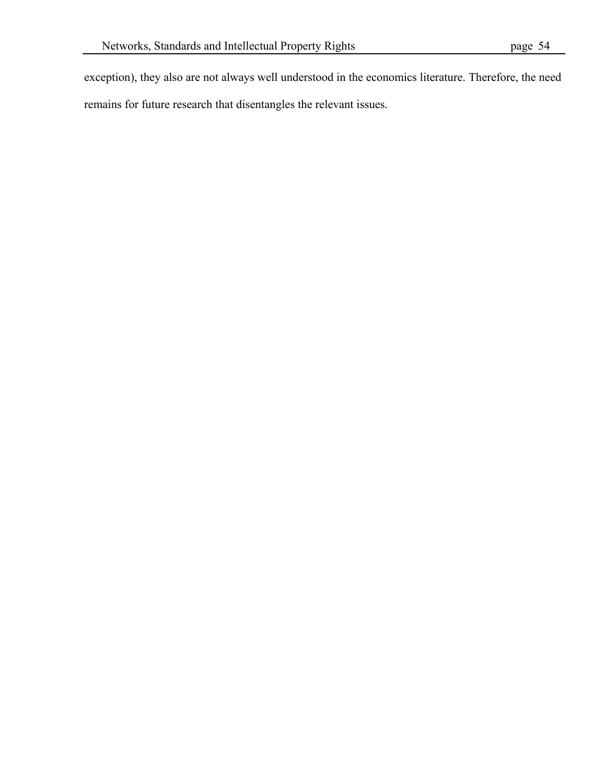exception), they also are not always well understood in the economics literature. Therefore, the need remains for future research that disentangles the relevant issues.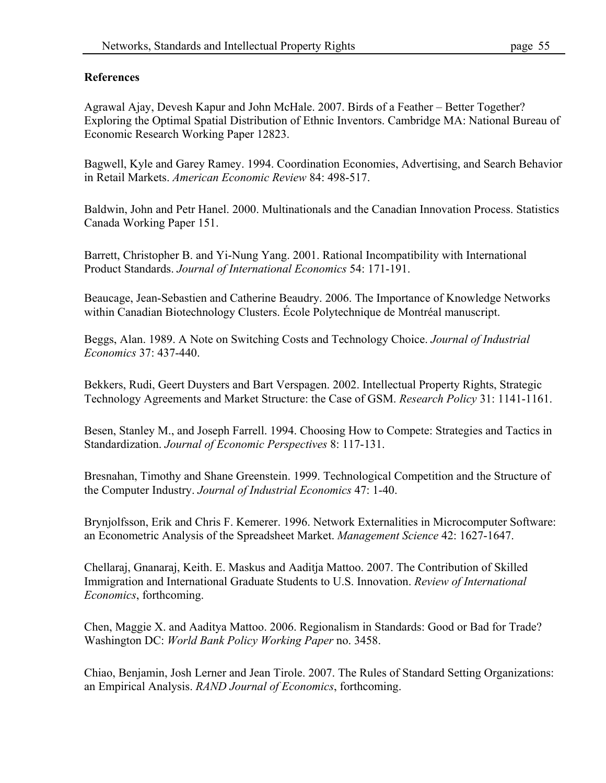## **References**

Agrawal Ajay, Devesh Kapur and John McHale. 2007. Birds of a Feather – Better Together? Exploring the Optimal Spatial Distribution of Ethnic Inventors. Cambridge MA: National Bureau of Economic Research Working Paper 12823.

Bagwell, Kyle and Garey Ramey. 1994. Coordination Economies, Advertising, and Search Behavior in Retail Markets. *American Economic Review* 84: 498-517.

Baldwin, John and Petr Hanel. 2000. Multinationals and the Canadian Innovation Process. Statistics Canada Working Paper 151.

Barrett, Christopher B. and Yi-Nung Yang. 2001. Rational Incompatibility with International Product Standards. *Journal of International Economics* 54: 171-191.

Beaucage, Jean-Sebastien and Catherine Beaudry. 2006. The Importance of Knowledge Networks within Canadian Biotechnology Clusters. École Polytechnique de Montréal manuscript.

Beggs, Alan. 1989. A Note on Switching Costs and Technology Choice. *Journal of Industrial Economics* 37: 437-440.

Bekkers, Rudi, Geert Duysters and Bart Verspagen. 2002. Intellectual Property Rights, Strategic Technology Agreements and Market Structure: the Case of GSM. *Research Policy* 31: 1141-1161.

Besen, Stanley M., and Joseph Farrell. 1994. Choosing How to Compete: Strategies and Tactics in Standardization. *Journal of Economic Perspectives* 8: 117-131.

Bresnahan, Timothy and Shane Greenstein. 1999. Technological Competition and the Structure of the Computer Industry. *Journal of Industrial Economics* 47: 1-40.

Brynjolfsson, Erik and Chris F. Kemerer. 1996. Network Externalities in Microcomputer Software: an Econometric Analysis of the Spreadsheet Market. *Management Science* 42: 1627-1647.

Chellaraj, Gnanaraj, Keith. E. Maskus and Aaditja Mattoo. 2007. The Contribution of Skilled Immigration and International Graduate Students to U.S. Innovation. *Review of International Economics*, forthcoming.

Chen, Maggie X. and Aaditya Mattoo. 2006. Regionalism in Standards: Good or Bad for Trade? Washington DC: *World Bank Policy Working Paper* no. 3458.

Chiao, Benjamin, Josh Lerner and Jean Tirole. 2007. The Rules of Standard Setting Organizations: an Empirical Analysis. *RAND Journal of Economics*, forthcoming.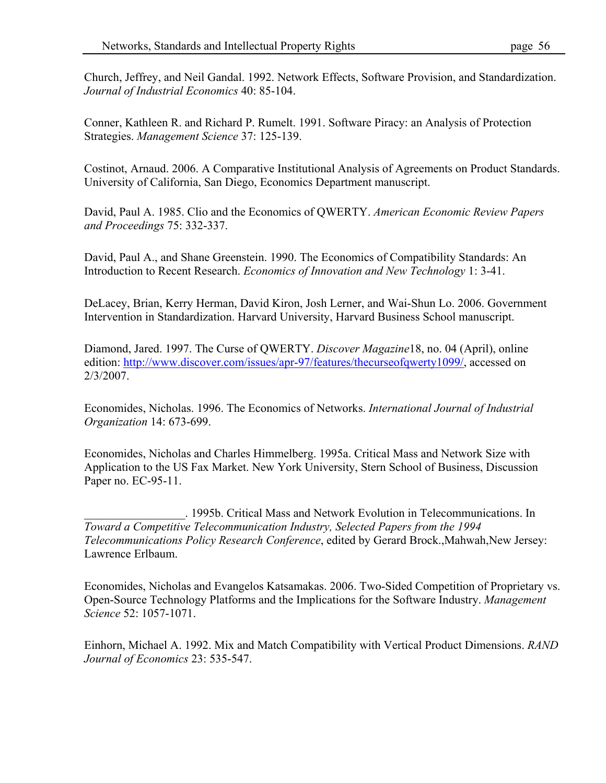Church, Jeffrey, and Neil Gandal. 1992. Network Effects, Software Provision, and Standardization. *Journal of Industrial Economics* 40: 85-104.

Conner, Kathleen R. and Richard P. Rumelt. 1991. Software Piracy: an Analysis of Protection Strategies. *Management Science* 37: 125-139.

Costinot, Arnaud. 2006. A Comparative Institutional Analysis of Agreements on Product Standards. University of California, San Diego, Economics Department manuscript.

David, Paul A. 1985. Clio and the Economics of QWERTY. *American Economic Review Papers and Proceedings* 75: 332-337.

David, Paul A., and Shane Greenstein. 1990. The Economics of Compatibility Standards: An Introduction to Recent Research. *Economics of Innovation and New Technology* 1: 3-41.

DeLacey, Brian, Kerry Herman, David Kiron, Josh Lerner, and Wai-Shun Lo. 2006. Government Intervention in Standardization. Harvard University, Harvard Business School manuscript.

Diamond, Jared. 1997. The Curse of QWERTY. *Discover Magazine*18, no. 04 (April), online edition: http://www.discover.com/issues/apr-97/features/thecurseofqwerty1099/, accessed on 2/3/2007.

Economides, Nicholas. 1996. The Economics of Networks. *International Journal of Industrial Organization* 14: 673-699.

Economides, Nicholas and Charles Himmelberg. 1995a. Critical Mass and Network Size with Application to the US Fax Market. New York University, Stern School of Business, Discussion Paper no. EC-95-11.

\_\_\_\_\_\_\_\_\_\_\_\_\_\_\_\_\_. 1995b. Critical Mass and Network Evolution in Telecommunications. In *Toward a Competitive Telecommunication Industry, Selected Papers from the 1994 Telecommunications Policy Research Conference*, edited by Gerard Brock.,Mahwah,New Jersey: Lawrence Erlbaum.

Economides, Nicholas and Evangelos Katsamakas. 2006. Two-Sided Competition of Proprietary vs. Open-Source Technology Platforms and the Implications for the Software Industry. *Management Science* 52: 1057-1071.

Einhorn, Michael A. 1992. Mix and Match Compatibility with Vertical Product Dimensions. *RAND Journal of Economics* 23: 535-547.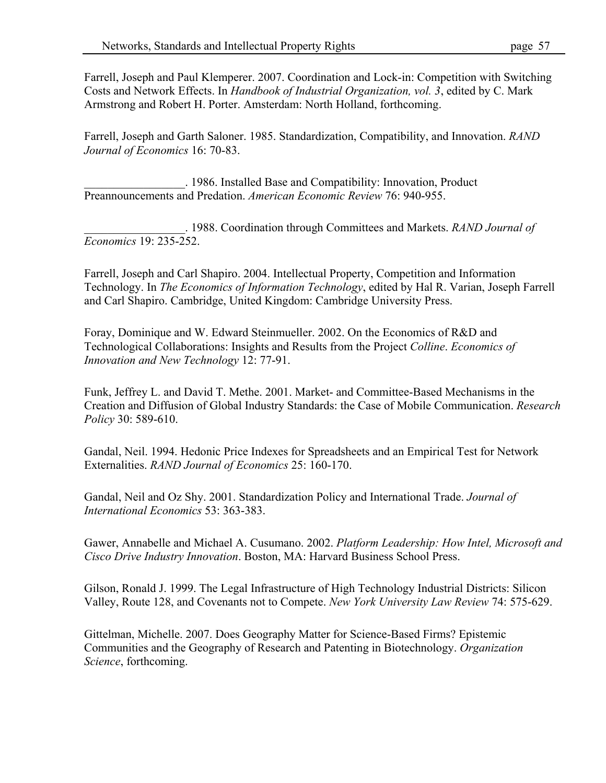Farrell, Joseph and Paul Klemperer. 2007. Coordination and Lock-in: Competition with Switching Costs and Network Effects. In *Handbook of Industrial Organization, vol. 3*, edited by C. Mark Armstrong and Robert H. Porter. Amsterdam: North Holland, forthcoming.

Farrell, Joseph and Garth Saloner. 1985. Standardization, Compatibility, and Innovation. *RAND Journal of Economics* 16: 70-83.

\_\_\_\_\_\_\_\_\_\_\_\_\_\_\_\_\_. 1986. Installed Base and Compatibility: Innovation, Product Preannouncements and Predation. *American Economic Review* 76: 940-955.

\_\_\_\_\_\_\_\_\_\_\_\_\_\_\_\_\_. 1988. Coordination through Committees and Markets. *RAND Journal of Economics* 19: 235-252.

Farrell, Joseph and Carl Shapiro. 2004. Intellectual Property, Competition and Information Technology. In *The Economics of Information Technology*, edited by Hal R. Varian, Joseph Farrell and Carl Shapiro. Cambridge, United Kingdom: Cambridge University Press.

Foray, Dominique and W. Edward Steinmueller. 2002. On the Economics of R&D and Technological Collaborations: Insights and Results from the Project *Colline*. *Economics of Innovation and New Technology* 12: 77-91.

Funk, Jeffrey L. and David T. Methe. 2001. Market- and Committee-Based Mechanisms in the Creation and Diffusion of Global Industry Standards: the Case of Mobile Communication. *Research Policy* 30: 589-610.

Gandal, Neil. 1994. Hedonic Price Indexes for Spreadsheets and an Empirical Test for Network Externalities. *RAND Journal of Economics* 25: 160-170.

Gandal, Neil and Oz Shy. 2001. Standardization Policy and International Trade. *Journal of International Economics* 53: 363-383.

Gawer, Annabelle and Michael A. Cusumano. 2002. *Platform Leadership: How Intel, Microsoft and Cisco Drive Industry Innovation*. Boston, MA: Harvard Business School Press.

Gilson, Ronald J. 1999. The Legal Infrastructure of High Technology Industrial Districts: Silicon Valley, Route 128, and Covenants not to Compete. *New York University Law Review* 74: 575-629.

Gittelman, Michelle. 2007. Does Geography Matter for Science-Based Firms? Epistemic Communities and the Geography of Research and Patenting in Biotechnology. *Organization Science*, forthcoming.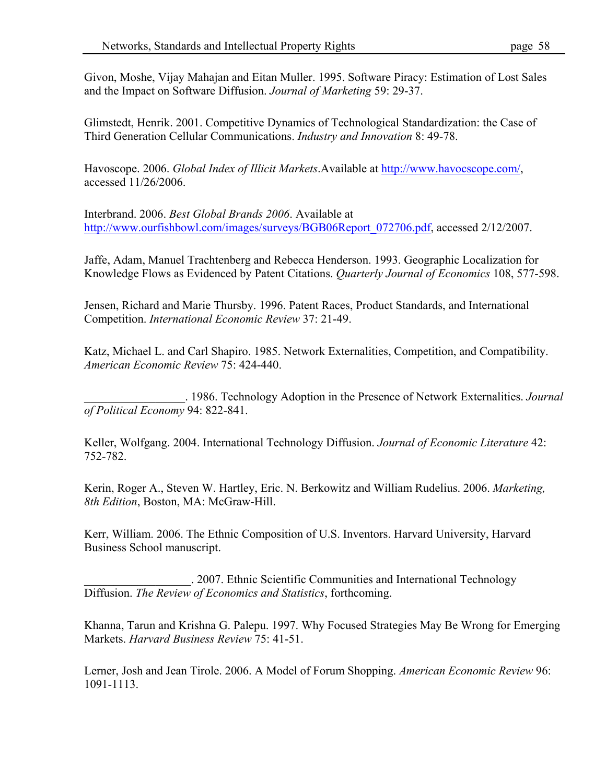Givon, Moshe, Vijay Mahajan and Eitan Muller. 1995. Software Piracy: Estimation of Lost Sales and the Impact on Software Diffusion. *Journal of Marketing* 59: 29-37.

Glimstedt, Henrik. 2001. Competitive Dynamics of Technological Standardization: the Case of Third Generation Cellular Communications. *Industry and Innovation* 8: 49-78.

Havoscope. 2006. *Global Index of Illicit Markets*.Available at http://www.havocscope.com/, accessed 11/26/2006.

Interbrand. 2006. *Best Global Brands 2006*. Available at http://www.ourfishbowl.com/images/surveys/BGB06Report\_072706.pdf, accessed 2/12/2007.

Jaffe, Adam, Manuel Trachtenberg and Rebecca Henderson. 1993. Geographic Localization for Knowledge Flows as Evidenced by Patent Citations. *Quarterly Journal of Economics* 108, 577-598.

Jensen, Richard and Marie Thursby. 1996. Patent Races, Product Standards, and International Competition. *International Economic Review* 37: 21-49.

Katz, Michael L. and Carl Shapiro. 1985. Network Externalities, Competition, and Compatibility. *American Economic Review* 75: 424-440.

\_\_\_\_\_\_\_\_\_\_\_\_\_\_\_\_\_. 1986. Technology Adoption in the Presence of Network Externalities. *Journal of Political Economy* 94: 822-841.

Keller, Wolfgang. 2004. International Technology Diffusion. *Journal of Economic Literature* 42: 752-782.

Kerin, Roger A., Steven W. Hartley, Eric. N. Berkowitz and William Rudelius. 2006. *Marketing, 8th Edition*, Boston, MA: McGraw-Hill.

Kerr, William. 2006. The Ethnic Composition of U.S. Inventors. Harvard University, Harvard Business School manuscript.

\_\_\_\_\_\_\_\_\_\_\_\_\_\_\_\_\_\_. 2007. Ethnic Scientific Communities and International Technology Diffusion. *The Review of Economics and Statistics*, forthcoming.

Khanna, Tarun and Krishna G. Palepu. 1997. Why Focused Strategies May Be Wrong for Emerging Markets. *Harvard Business Review* 75: 41-51.

Lerner, Josh and Jean Tirole. 2006. A Model of Forum Shopping. *American Economic Review* 96: 1091-1113.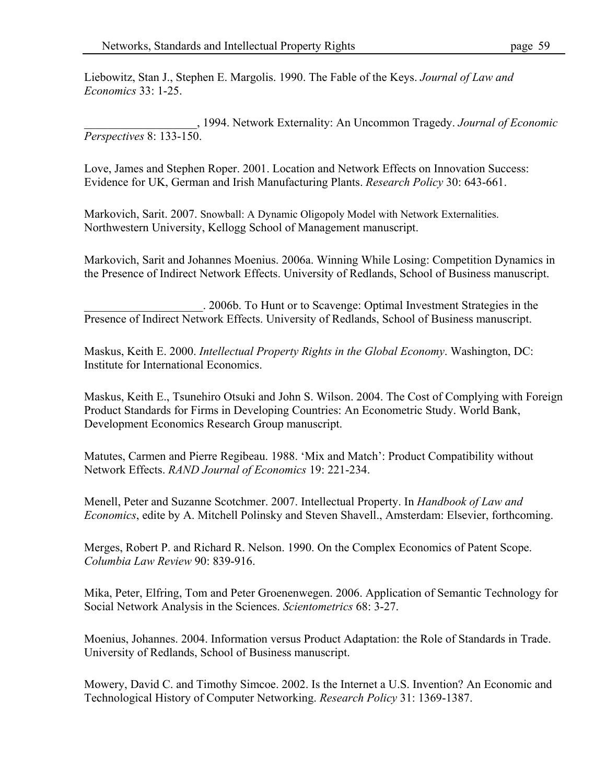Liebowitz, Stan J., Stephen E. Margolis. 1990. The Fable of the Keys. *Journal of Law and Economics* 33: 1-25.

\_\_\_\_\_\_\_\_\_\_\_\_\_\_\_\_\_\_\_, 1994. Network Externality: An Uncommon Tragedy. *Journal of Economic Perspectives* 8: 133-150.

Love, James and Stephen Roper. 2001. Location and Network Effects on Innovation Success: Evidence for UK, German and Irish Manufacturing Plants. *Research Policy* 30: 643-661.

Markovich, Sarit. 2007. Snowball: A Dynamic Oligopoly Model with Network Externalities. Northwestern University, Kellogg School of Management manuscript.

Markovich, Sarit and Johannes Moenius. 2006a. Winning While Losing: Competition Dynamics in the Presence of Indirect Network Effects. University of Redlands, School of Business manuscript.

\_\_\_\_\_\_\_\_\_\_\_\_\_\_\_\_\_\_\_\_. 2006b. To Hunt or to Scavenge: Optimal Investment Strategies in the Presence of Indirect Network Effects. University of Redlands, School of Business manuscript.

Maskus, Keith E. 2000. *Intellectual Property Rights in the Global Economy*. Washington, DC: Institute for International Economics.

Maskus, Keith E., Tsunehiro Otsuki and John S. Wilson. 2004. The Cost of Complying with Foreign Product Standards for Firms in Developing Countries: An Econometric Study. World Bank, Development Economics Research Group manuscript.

Matutes, Carmen and Pierre Regibeau. 1988. 'Mix and Match': Product Compatibility without Network Effects. *RAND Journal of Economics* 19: 221-234.

Menell, Peter and Suzanne Scotchmer. 2007. Intellectual Property. In *Handbook of Law and Economics*, edite by A. Mitchell Polinsky and Steven Shavell., Amsterdam: Elsevier, forthcoming.

Merges, Robert P. and Richard R. Nelson. 1990. On the Complex Economics of Patent Scope. *Columbia Law Review* 90: 839-916.

Mika, Peter, Elfring, Tom and Peter Groenenwegen. 2006. Application of Semantic Technology for Social Network Analysis in the Sciences. *Scientometrics* 68: 3-27.

Moenius, Johannes. 2004. Information versus Product Adaptation: the Role of Standards in Trade. University of Redlands, School of Business manuscript.

Mowery, David C. and Timothy Simcoe. 2002. Is the Internet a U.S. Invention? An Economic and Technological History of Computer Networking. *Research Policy* 31: 1369-1387.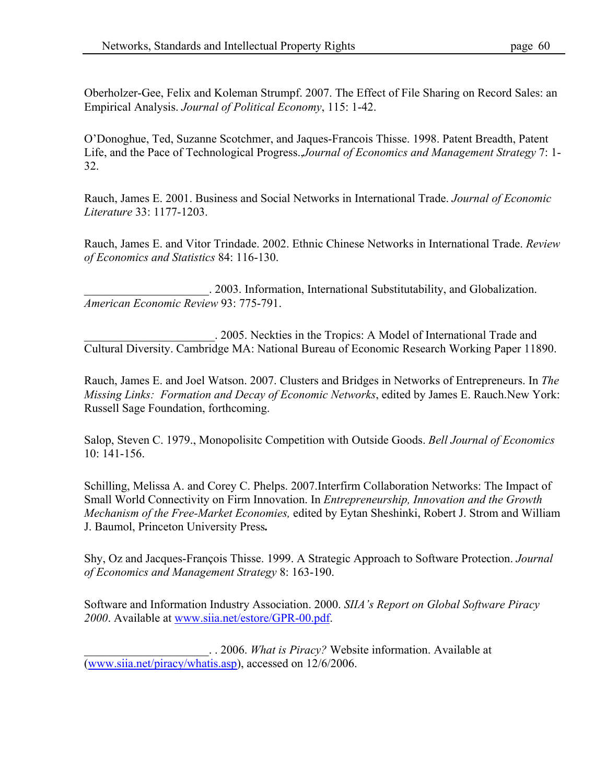Oberholzer-Gee, Felix and Koleman Strumpf. 2007. The Effect of File Sharing on Record Sales: an Empirical Analysis. *Journal of Political Economy*, 115: 1-42.

O'Donoghue, Ted, Suzanne Scotchmer, and Jaques-Francois Thisse. 1998. Patent Breadth, Patent Life, and the Pace of Technological Progress.,*Journal of Economics and Management Strategy* 7: 1- 32.

Rauch, James E. 2001. Business and Social Networks in International Trade. *Journal of Economic Literature* 33: 1177-1203.

Rauch, James E. and Vitor Trindade. 2002. Ethnic Chinese Networks in International Trade. *Review of Economics and Statistics* 84: 116-130.

\_\_\_\_\_\_\_\_\_\_\_\_\_\_\_\_\_\_\_\_\_. 2003. Information, International Substitutability, and Globalization. *American Economic Review* 93: 775-791.

\_\_\_\_\_\_\_\_\_\_\_\_\_\_\_\_\_\_\_\_\_\_. 2005. Neckties in the Tropics: A Model of International Trade and Cultural Diversity. Cambridge MA: National Bureau of Economic Research Working Paper 11890.

Rauch, James E. and Joel Watson. 2007. Clusters and Bridges in Networks of Entrepreneurs. In *The Missing Links: Formation and Decay of Economic Networks*, edited by James E. Rauch.New York: Russell Sage Foundation, forthcoming.

Salop, Steven C. 1979., Monopolisitc Competition with Outside Goods. *Bell Journal of Economics* 10: 141-156.

Schilling, Melissa A. and Corey C. Phelps. 2007.Interfirm Collaboration Networks: The Impact of Small World Connectivity on Firm Innovation. In *Entrepreneurship, Innovation and the Growth Mechanism of the Free-Market Economies,* edited by Eytan Sheshinki, Robert J. Strom and William J. Baumol, Princeton University Press*.*

Shy, Oz and Jacques-François Thisse. 1999. A Strategic Approach to Software Protection. *Journal of Economics and Management Strategy* 8: 163-190.

Software and Information Industry Association. 2000. *SIIA's Report on Global Software Piracy 2000*. Available at www.siia.net/estore/GPR-00.pdf.

\_\_\_\_\_\_\_\_\_\_\_\_\_\_\_\_\_\_\_\_\_. . 2006. *What is Piracy?* Website information. Available at (www.siia.net/piracy/whatis.asp), accessed on 12/6/2006.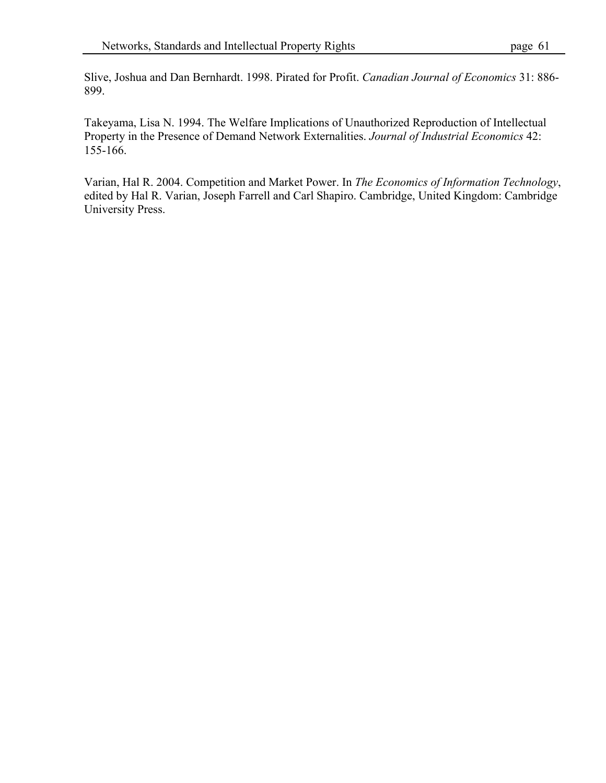Slive, Joshua and Dan Bernhardt. 1998. Pirated for Profit. *Canadian Journal of Economics* 31: 886- 899.

Takeyama, Lisa N. 1994. The Welfare Implications of Unauthorized Reproduction of Intellectual Property in the Presence of Demand Network Externalities. *Journal of Industrial Economics* 42: 155-166.

Varian, Hal R. 2004. Competition and Market Power. In *The Economics of Information Technology*, edited by Hal R. Varian, Joseph Farrell and Carl Shapiro. Cambridge, United Kingdom: Cambridge University Press.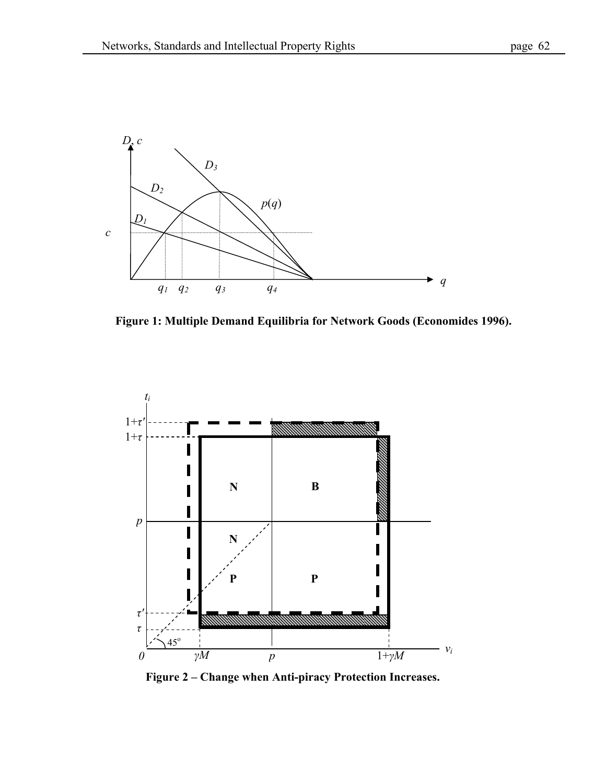

**Figure 1: Multiple Demand Equilibria for Network Goods (Economides 1996).** 



**Figure 2 – Change when Anti-piracy Protection Increases.**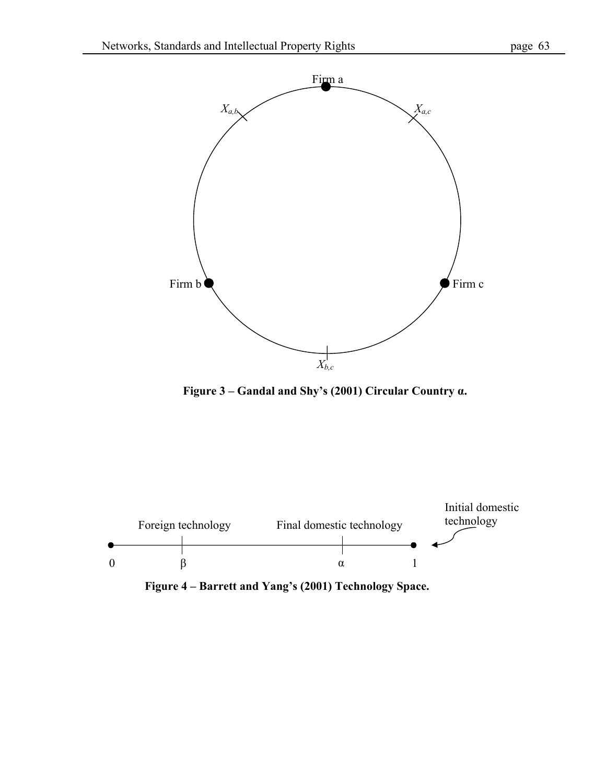

**Figure 3 – Gandal and Shy's (2001) Circular Country α.**



**Figure 4 – Barrett and Yang's (2001) Technology Space.**